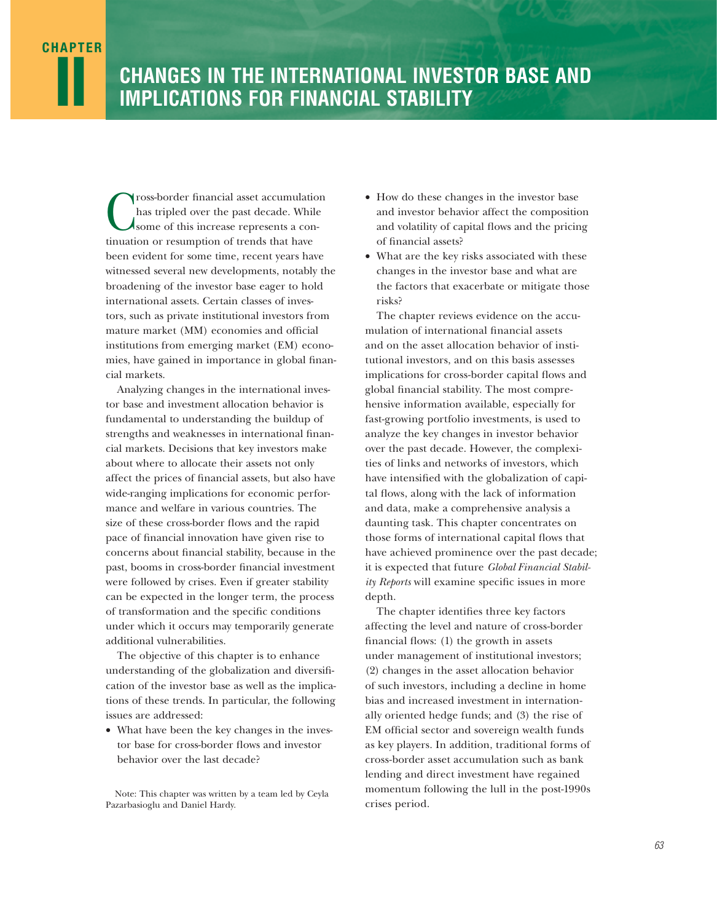# **CHANGES IN THE INTERNATIONAL INVESTOR BASE AND IMPLICATIONS FOR FINANCIAL STABILITY**

Tross-border financial asset accumulation<br>has tripled over the past decade. While<br>some of this increase represents a con-<br>tinuation or resumption of trends that have has tripled over the past decade. While some of this increase represents a continuation or resumption of trends that have been evident for some time, recent years have witnessed several new developments, notably the broadening of the investor base eager to hold international assets. Certain classes of investors, such as private institutional investors from mature market (MM) economies and official institutions from emerging market (EM) economies, have gained in importance in global financial markets.

Analyzing changes in the international investor base and investment allocation behavior is fundamental to understanding the buildup of strengths and weaknesses in international financial markets. Decisions that key investors make about where to allocate their assets not only affect the prices of financial assets, but also have wide-ranging implications for economic performance and welfare in various countries. The size of these cross-border flows and the rapid pace of financial innovation have given rise to concerns about financial stability, because in the past, booms in cross-border financial investment were followed by crises. Even if greater stability can be expected in the longer term, the process of transformation and the specific conditions under which it occurs may temporarily generate additional vulnerabilities.

The objective of this chapter is to enhance understanding of the globalization and diversification of the investor base as well as the implications of these trends. In particular, the following issues are addressed:

v What have been the key changes in the investor base for cross-border flows and investor behavior over the last decade?

- How do these changes in the investor base and investor behavior affect the composition and volatility of capital flows and the pricing of financial assets?
- What are the key risks associated with these changes in the investor base and what are the factors that exacerbate or mitigate those risks?

The chapter reviews evidence on the accumulation of international financial assets and on the asset allocation behavior of institutional investors, and on this basis assesses implications for cross-border capital flows and global financial stability. The most comprehensive information available, especially for fast-growing portfolio investments, is used to analyze the key changes in investor behavior over the past decade. However, the complexities of links and networks of investors, which have intensified with the globalization of capital flows, along with the lack of information and data, make a comprehensive analysis a daunting task. This chapter concentrates on those forms of international capital flows that have achieved prominence over the past decade; it is expected that future *Global Financial Stability Reports* will examine specific issues in more depth.

The chapter identifies three key factors affecting the level and nature of cross-border financial flows: (1) the growth in assets under management of institutional investors; (2) changes in the asset allocation behavior of such investors, including a decline in home bias and increased investment in internationally oriented hedge funds; and (3) the rise of EM official sector and sovereign wealth funds as key players. In addition, traditional forms of cross-border asset accumulation such as bank lending and direct investment have regained momentum following the lull in the post-1990s crises period.

Note: This chapter was written by a team led by Ceyla Pazarbasioglu and Daniel Hardy.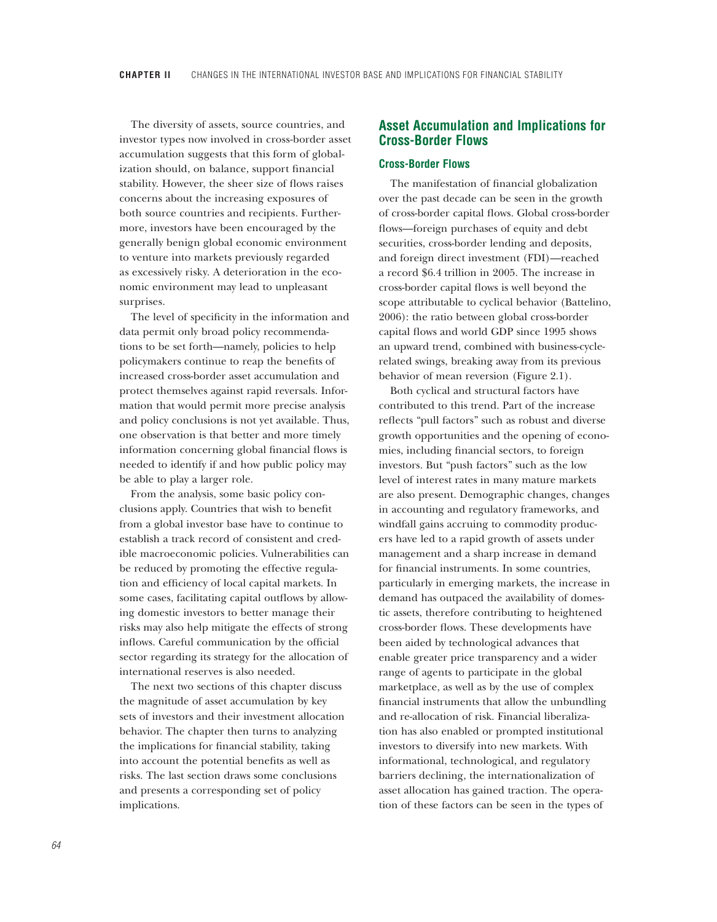The diversity of assets, source countries, and investor types now involved in cross-border asset accumulation suggests that this form of globalization should, on balance, support financial stability. However, the sheer size of flows raises concerns about the increasing exposures of both source countries and recipients. Furthermore, investors have been encouraged by the generally benign global economic environment to venture into markets previously regarded as excessively risky. A deterioration in the economic environment may lead to unpleasant surprises.

The level of specificity in the information and data permit only broad policy recommendations to be set forth—namely, policies to help policymakers continue to reap the benefits of increased cross-border asset accumulation and protect themselves against rapid reversals. Information that would permit more precise analysis and policy conclusions is not yet available. Thus, one observation is that better and more timely information concerning global financial flows is needed to identify if and how public policy may be able to play a larger role.

From the analysis, some basic policy conclusions apply. Countries that wish to benefit from a global investor base have to continue to establish a track record of consistent and credible macroeconomic policies. Vulnerabilities can be reduced by promoting the effective regulation and efficiency of local capital markets. In some cases, facilitating capital outflows by allowing domestic investors to better manage their risks may also help mitigate the effects of strong inflows. Careful communication by the official sector regarding its strategy for the allocation of international reserves is also needed.

The next two sections of this chapter discuss the magnitude of asset accumulation by key sets of investors and their investment allocation behavior. The chapter then turns to analyzing the implications for financial stability, taking into account the potential benefits as well as risks. The last section draws some conclusions and presents a corresponding set of policy implications.

# **Asset Accumulation and Implications for Cross-Border Flows**

### **Cross-Border Flows**

The manifestation of financial globalization over the past decade can be seen in the growth of cross-border capital flows. Global cross-border flows—foreign purchases of equity and debt securities, cross-border lending and deposits, and foreign direct investment (FDI)—reached a record \$6.4 trillion in 2005. The increase in cross-border capital flows is well beyond the scope attributable to cyclical behavior (Battelino, 2006): the ratio between global cross-border capital flows and world GDP since 1995 shows an upward trend, combined with business-cyclerelated swings, breaking away from its previous behavior of mean reversion (Figure 2.1).

Both cyclical and structural factors have contributed to this trend. Part of the increase reflects "pull factors" such as robust and diverse growth opportunities and the opening of economies, including financial sectors, to foreign investors. But "push factors" such as the low level of interest rates in many mature markets are also present. Demographic changes, changes in accounting and regulatory frameworks, and windfall gains accruing to commodity producers have led to a rapid growth of assets under management and a sharp increase in demand for financial instruments. In some countries, particularly in emerging markets, the increase in demand has outpaced the availability of domestic assets, therefore contributing to heightened cross-border flows. These developments have been aided by technological advances that enable greater price transparency and a wider range of agents to participate in the global marketplace, as well as by the use of complex financial instruments that allow the unbundling and re-allocation of risk. Financial liberalization has also enabled or prompted institutional investors to diversify into new markets. With informational, technological, and regulatory barriers declining, the internationalization of asset allocation has gained traction. The operation of these factors can be seen in the types of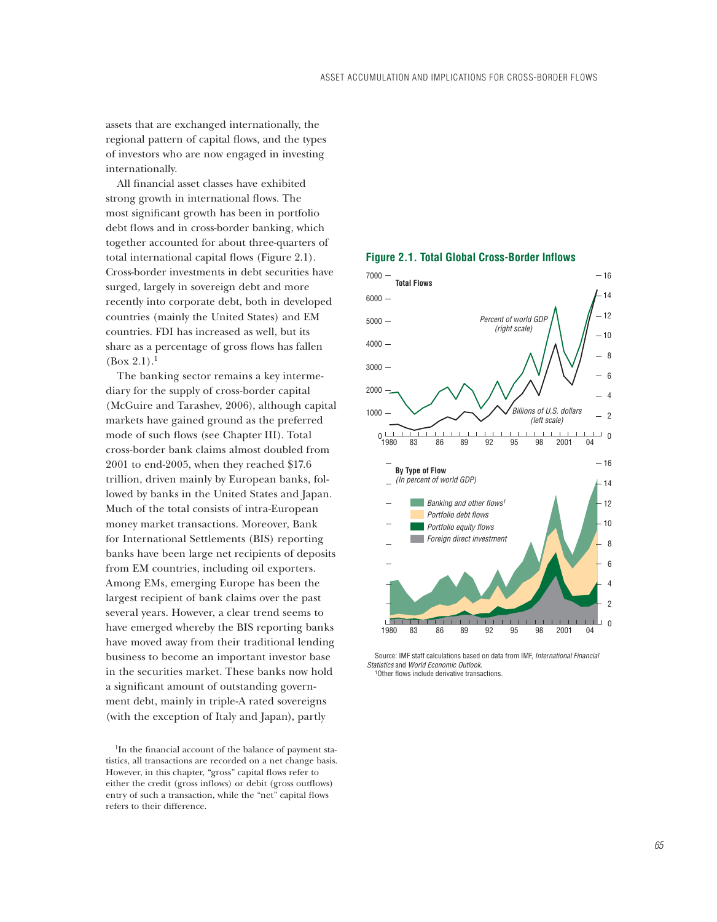assets that are exchanged internationally, the regional pattern of capital flows, and the types of investors who are now engaged in investing internationally.

All financial asset classes have exhibited strong growth in international flows. The most significant growth has been in portfolio debt flows and in cross-border banking, which together accounted for about three-quarters of total international capital flows (Figure 2.1). Cross-border investments in debt securities have surged, largely in sovereign debt and more recently into corporate debt, both in developed countries (mainly the United States) and EM countries. FDI has increased as well, but its share as a percentage of gross flows has fallen  $(Box 2.1).<sup>1</sup>$ 

The banking sector remains a key intermediary for the supply of cross-border capital (McGuire and Tarashev, 2006), although capital markets have gained ground as the preferred mode of such flows (see Chapter III). Total cross-border bank claims almost doubled from 2001 to end-2005, when they reached \$17.6 trillion, driven mainly by European banks, followed by banks in the United States and Japan. Much of the total consists of intra-European money market transactions. Moreover, Bank for International Settlements (BIS) reporting banks have been large net recipients of deposits from EM countries, including oil exporters. Among EMs, emerging Europe has been the largest recipient of bank claims over the past several years. However, a clear trend seems to have emerged whereby the BIS reporting banks have moved away from their traditional lending business to become an important investor base in the securities market. These banks now hold a significant amount of outstanding government debt, mainly in triple-A rated sovereigns (with the exception of Italy and Japan), partly



**Figure 2.1. Total Global Cross-Border Inflows**

Source: IMF staff calculations based on data from IMF, International Financial Statistics and World Economic Outlook. 1Other flows include derivative transactions.

<sup>&</sup>lt;sup>1</sup>In the financial account of the balance of payment statistics, all transactions are recorded on a net change basis. However, in this chapter, "gross" capital flows refer to either the credit (gross inflows) or debit (gross outflows) entry of such a transaction, while the "net" capital flows refers to their difference.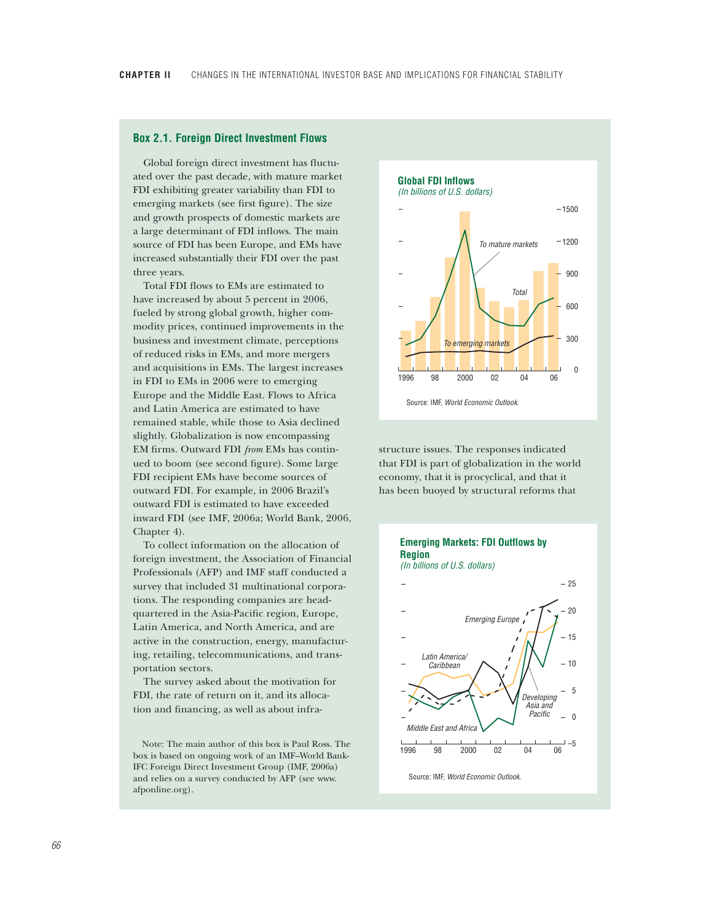### **Box 2.1. Foreign Direct Investment Flows**

Global foreign direct investment has fluctuated over the past decade, with mature market FDI exhibiting greater variability than FDI to emerging markets (see first figure). The size and growth prospects of domestic markets are a large determinant of FDI inflows. The main source of FDI has been Europe, and EMs have increased substantially their FDI over the past three years.

Total FDI flows to EMs are estimated to have increased by about 5 percent in 2006, fueled by strong global growth, higher commodity prices, continued improvements in the business and investment climate, perceptions of reduced risks in EMs, and more mergers and acquisitions in EMs. The largest increases in FDI to EMs in 2006 were to emerging Europe and the Middle East. Flows to Africa and Latin America are estimated to have remained stable, while those to Asia declined slightly. Globalization is now encompassing EM firms. Outward FDI *from* EMs has continued to boom (see second figure). Some large FDI recipient EMs have become sources of outward FDI. For example, in 2006 Brazil's outward FDI is estimated to have exceeded inward FDI (see IMF, 2006a; World Bank, 2006, Chapter 4).

To collect information on the allocation of foreign investment, the Association of Financial Professionals (AFP) and IMF staff conducted a survey that included 31 multinational corporations. The responding companies are headquartered in the Asia-Pacific region, Europe, Latin America, and North America, and are active in the construction, energy, manufacturing, retailing, telecommunications, and transportation sectors.

The survey asked about the motivation for FDI, the rate of return on it, and its allocation and financing, as well as about infra-

Note: The main author of this box is Paul Ross. The box is based on ongoing work of an IMF–World Bank-IFC Foreign Direct Investment Group (IMF, 2006a) and relies on a survey conducted by AFP (see www. afponline.org).



Source: IMF, World Economic Outlook.

structure issues. The responses indicated that FDI is part of globalization in the world economy, that it is procyclical, and that it has been buoyed by structural reforms that



Source: IMF, World Economic Outlook.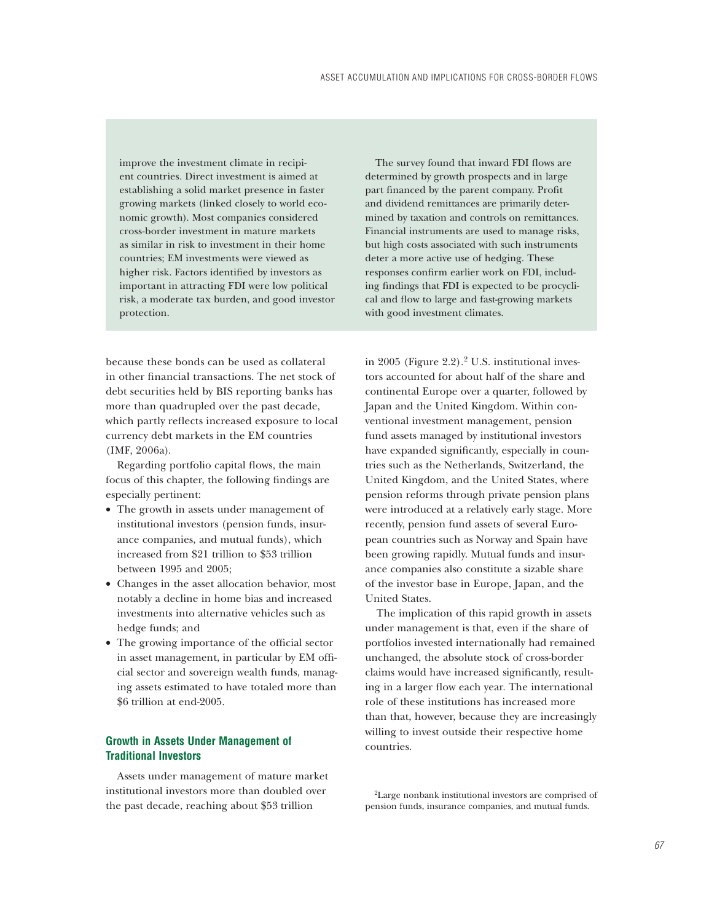improve the investment climate in recipient countries. Direct investment is aimed at establishing a solid market presence in faster growing markets (linked closely to world economic growth). Most companies considered cross-border investment in mature markets as similar in risk to investment in their home countries; EM investments were viewed as higher risk. Factors identified by investors as important in attracting FDI were low political risk, a moderate tax burden, and good investor protection.

because these bonds can be used as collateral in other financial transactions. The net stock of debt securities held by BIS reporting banks has more than quadrupled over the past decade, which partly reflects increased exposure to local currency debt markets in the EM countries (IMF, 2006a).

Regarding portfolio capital flows, the main focus of this chapter, the following findings are especially pertinent:

- The growth in assets under management of institutional investors (pension funds, insurance companies, and mutual funds), which increased from \$21 trillion to \$53 trillion between 1995 and 2005;
- v Changes in the asset allocation behavior, most notably a decline in home bias and increased investments into alternative vehicles such as hedge funds; and
- The growing importance of the official sector in asset management, in particular by EM official sector and sovereign wealth funds, managing assets estimated to have totaled more than \$6 trillion at end-2005.

# **Growth in Assets Under Management of Traditional Investors**

Assets under management of mature market institutional investors more than doubled over the past decade, reaching about \$53 trillion

The survey found that inward FDI flows are determined by growth prospects and in large part financed by the parent company. Profit and dividend remittances are primarily determined by taxation and controls on remittances. Financial instruments are used to manage risks, but high costs associated with such instruments deter a more active use of hedging. These responses confirm earlier work on FDI, including findings that FDI is expected to be procyclical and flow to large and fast-growing markets with good investment climates.

in 2005 (Figure  $2.2$ ).<sup>2</sup> U.S. institutional investors accounted for about half of the share and continental Europe over a quarter, followed by Japan and the United Kingdom. Within conventional investment management, pension fund assets managed by institutional investors have expanded significantly, especially in countries such as the Netherlands, Switzerland, the United Kingdom, and the United States, where pension reforms through private pension plans were introduced at a relatively early stage. More recently, pension fund assets of several European countries such as Norway and Spain have been growing rapidly. Mutual funds and insurance companies also constitute a sizable share of the investor base in Europe, Japan, and the United States.

The implication of this rapid growth in assets under management is that, even if the share of portfolios invested internationally had remained unchanged, the absolute stock of cross-border claims would have increased significantly, resulting in a larger flow each year. The international role of these institutions has increased more than that, however, because they are increasingly willing to invest outside their respective home countries.

2Large nonbank institutional investors are comprised of pension funds, insurance companies, and mutual funds.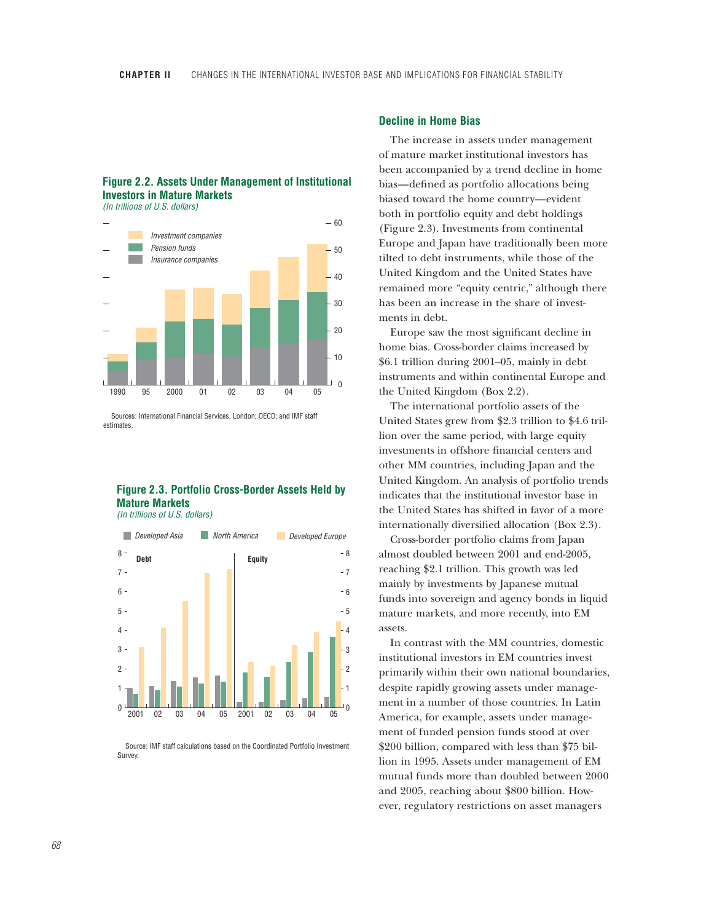

**Figure 2.2. Assets Under Management of Institutional Investors in Mature Markets**

Sources: International Financial Services, London; OECD; and IMF staff estimates.

### **Figure 2.3. Portfolio Cross-Border Assets Held by Mature Markets**

(In trillions of U.S. dollars)



Source: IMF staff calculations based on the Coordinated Portfolio Investment Survey.

### **Decline in Home Bias**

The increase in assets under management of mature market institutional investors has been accompanied by a trend decline in home bias—defined as portfolio allocations being biased toward the home country—evident both in portfolio equity and debt holdings (Figure 2.3). Investments from continental Europe and Japan have traditionally been more tilted to debt instruments, while those of the United Kingdom and the United States have remained more "equity centric," although there has been an increase in the share of investments in debt.

Europe saw the most significant decline in home bias. Cross-border claims increased by \$6.1 trillion during 2001–05, mainly in debt instruments and within continental Europe and the United Kingdom (Box 2.2).

The international portfolio assets of the United States grew from \$2.3 trillion to \$4.6 trillion over the same period, with large equity investments in offshore financial centers and other MM countries, including Japan and the United Kingdom. An analysis of portfolio trends indicates that the institutional investor base in the United States has shifted in favor of a more internationally diversified allocation (Box 2.3).

Cross-border portfolio claims from Japan almost doubled between 2001 and end-2005, reaching \$2.1 trillion. This growth was led mainly by investments by Japanese mutual funds into sovereign and agency bonds in liquid mature markets, and more recently, into EM assets.

In contrast with the MM countries, domestic institutional investors in EM countries invest primarily within their own national boundaries, despite rapidly growing assets under management in a number of those countries. In Latin America, for example, assets under management of funded pension funds stood at over \$200 billion, compared with less than \$75 billion in 1995. Assets under management of EM mutual funds more than doubled between 2000 and 2005, reaching about \$800 billion. However, regulatory restrictions on asset managers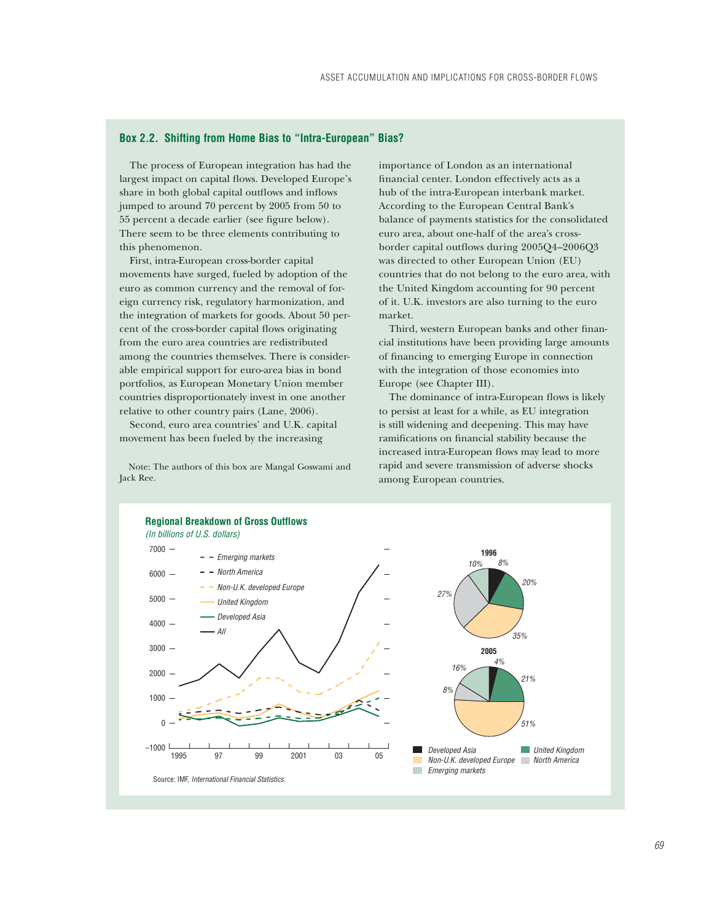### **Box 2.2. Shifting from Home Bias to "Intra-European" Bias?**

The process of European integration has had the largest impact on capital flows. Developed Europe's share in both global capital outflows and inflows jumped to around 70 percent by 2005 from 50 to 55 percent a decade earlier (see figure below). There seem to be three elements contributing to this phenomenon.

First, intra-European cross-border capital movements have surged, fueled by adoption of the euro as common currency and the removal of foreign currency risk, regulatory harmonization, and the integration of markets for goods. About 50 percent of the cross-border capital flows originating from the euro area countries are redistributed among the countries themselves. There is considerable empirical support for euro-area bias in bond portfolios, as European Monetary Union member countries disproportionately invest in one another relative to other country pairs (Lane, 2006).

Second, euro area countries' and U.K. capital movement has been fueled by the increasing

Note: The authors of this box are Mangal Goswami and Jack Ree.

importance of London as an international financial center. London effectively acts as a hub of the intra-European interbank market. According to the European Central Bank's balance of payments statistics for the consolidated euro area, about one-half of the area's crossborder capital outflows during 2005Q4–2006Q3 was directed to other European Union (EU) countries that do not belong to the euro area, with the United Kingdom accounting for 90 percent of it. U.K. investors are also turning to the euro market.

Third, western European banks and other financial institutions have been providing large amounts of financing to emerging Europe in connection with the integration of those economies into Europe (see Chapter III).

The dominance of intra-European flows is likely to persist at least for a while, as EU integration is still widening and deepening. This may have ramifications on financial stability because the increased intra-European flows may lead to more rapid and severe transmission of adverse shocks among European countries.

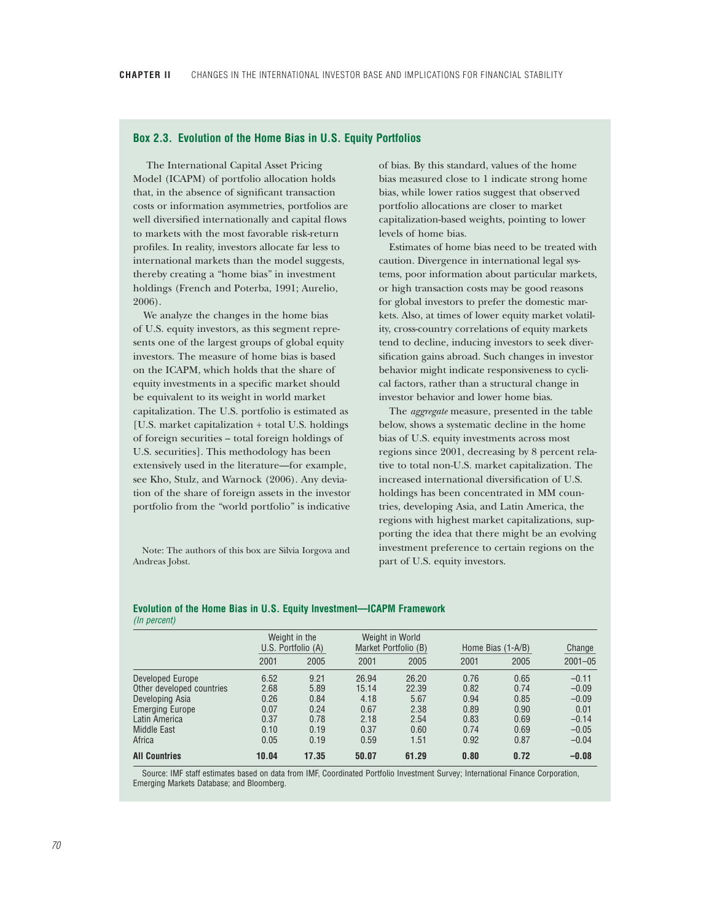### **Box 2.3. Evolution of the Home Bias in U.S. Equity Portfolios**

 The International Capital Asset Pricing Model (ICAPM) of portfolio allocation holds that, in the absence of significant transaction costs or information asymmetries, portfolios are well diversified internationally and capital flows to markets with the most favorable risk-return profiles. In reality, investors allocate far less to international markets than the model suggests, thereby creating a "home bias" in investment holdings (French and Poterba, 1991; Aurelio, 2006).

We analyze the changes in the home bias of U.S. equity investors, as this segment represents one of the largest groups of global equity investors. The measure of home bias is based on the ICAPM, which holds that the share of equity investments in a specific market should be equivalent to its weight in world market capitalization. The U.S. portfolio is estimated as [U.S. market capitalization + total U.S. holdings of foreign securities – total foreign holdings of U.S. securities]. This methodology has been extensively used in the literature—for example, see Kho, Stulz, and Warnock (2006). Any deviation of the share of foreign assets in the investor portfolio from the "world portfolio" is indicative

Note: The authors of this box are Silvia Iorgova and Andreas Jobst.

of bias. By this standard, values of the home bias measured close to 1 indicate strong home bias, while lower ratios suggest that observed portfolio allocations are closer to market capitalization-based weights, pointing to lower levels of home bias.

Estimates of home bias need to be treated with caution. Divergence in international legal systems, poor information about particular markets, or high transaction costs may be good reasons for global investors to prefer the domestic markets. Also, at times of lower equity market volatility, cross-country correlations of equity markets tend to decline, inducing investors to seek diversification gains abroad. Such changes in investor behavior might indicate responsiveness to cyclical factors, rather than a structural change in investor behavior and lower home bias.

The *aggregate* measure, presented in the table below, shows a systematic decline in the home bias of U.S. equity investments across most regions since 2001, decreasing by 8 percent relative to total non-U.S. market capitalization. The increased international diversification of U.S. holdings has been concentrated in MM countries, developing Asia, and Latin America, the regions with highest market capitalizations, supporting the idea that there might be an evolving investment preference to certain regions on the part of U.S. equity investors.

#### **Evolution of the Home Bias in U.S. Equity Investment—ICAPM Framework** (In percent)

|                           |       | Weight in the<br>U.S. Portfolio (A) |       | Weight in World<br>Market Portfolio (B) | Home Bias (1-A/B) | Change |             |
|---------------------------|-------|-------------------------------------|-------|-----------------------------------------|-------------------|--------|-------------|
|                           | 2001  | 2005                                | 2001  | 2005                                    | 2001              | 2005   | $2001 - 05$ |
| Developed Europe          | 6.52  | 9.21                                | 26.94 | 26.20                                   | 0.76              | 0.65   | $-0.11$     |
| Other developed countries | 2.68  | 5.89                                | 15.14 | 22.39                                   | 0.82              | 0.74   | $-0.09$     |
| Developing Asia           | 0.26  | 0.84                                | 4.18  | 5.67                                    | 0.94              | 0.85   | $-0.09$     |
| <b>Emerging Europe</b>    | 0.07  | 0.24                                | 0.67  | 2.38                                    | 0.89              | 0.90   | 0.01        |
| Latin America             | 0.37  | 0.78                                | 2.18  | 2.54                                    | 0.83              | 0.69   | $-0.14$     |
| Middle East               | 0.10  | 0.19                                | 0.37  | 0.60                                    | 0.74              | 0.69   | $-0.05$     |
| Africa                    | 0.05  | 0.19                                | 0.59  | 1.51                                    | 0.92              | 0.87   | $-0.04$     |
| <b>All Countries</b>      | 10.04 | 17.35                               | 50.07 | 61.29                                   | 0.80              | 0.72   | $-0.08$     |

Source: IMF staff estimates based on data from IMF, Coordinated Portfolio Investment Survey; International Finance Corporation, Emerging Markets Database; and Bloomberg.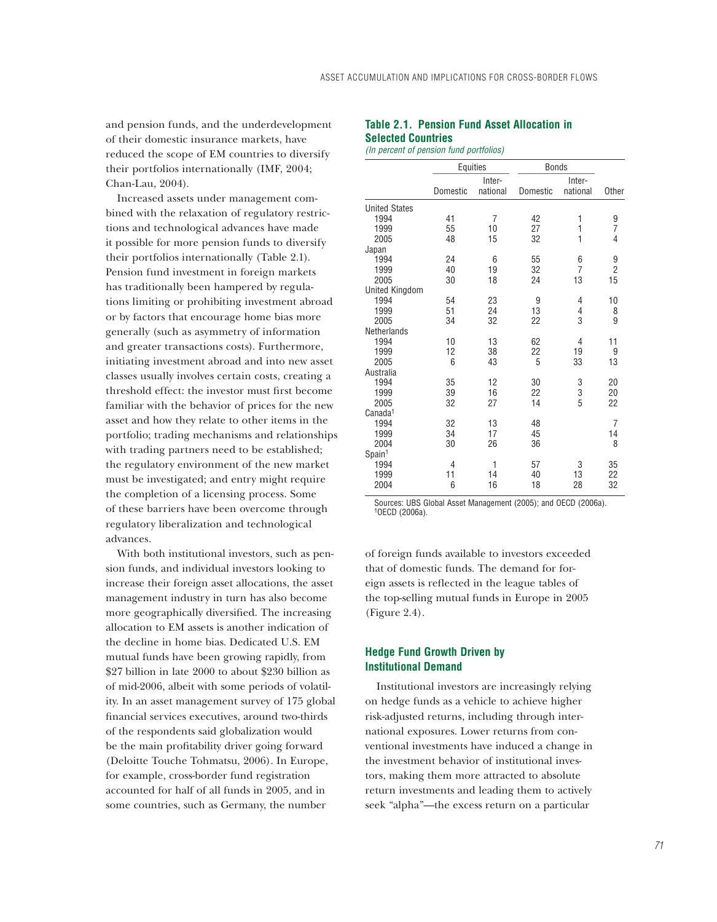and pension funds, and the underdevelopment of their domestic insurance markets, have reduced the scope of EM countries to diversify their portfolios internationally (IMF, 2004; Chan-Lau, 2004).

Increased assets under management combined with the relaxation of regulatory restrictions and technological advances have made it possible for more pension funds to diversify their portfolios internationally (Table 2.1). Pension fund investment in foreign markets has traditionally been hampered by regulations limiting or prohibiting investment abroad or by factors that encourage home bias more generally (such as asymmetry of information and greater transactions costs). Furthermore, initiating investment abroad and into new asset classes usually involves certain costs, creating a threshold effect: the investor must first become familiar with the behavior of prices for the new asset and how they relate to other items in the portfolio; trading mechanisms and relationships with trading partners need to be established; the regulatory environment of the new market must be investigated; and entry might require the completion of a licensing process. Some of these barriers have been overcome through regulatory liberalization and technological advances.

With both institutional investors, such as pension funds, and individual investors looking to increase their foreign asset allocations, the asset management industry in turn has also become more geographically diversified. The increasing allocation to EM assets is another indication of the decline in home bias. Dedicated U.S. EM mutual funds have been growing rapidly, from \$27 billion in late 2000 to about \$230 billion as of mid-2006, albeit with some periods of volatility. In an asset management survey of 175 global financial services executives, around two-thirds of the respondents said globalization would be the main profitability driver going forward (Deloitte Touche Tohmatsu, 2006). In Europe, for example, cross-border fund registration accounted for half of all funds in 2005, and in some countries, such as Germany, the number

### **Table 2.1. Pension Fund Asset Allocation in Selected Countries** (In percent of pension fund portfolios)

|                                                               | Equities |          | <b>Bonds</b> |                |                |
|---------------------------------------------------------------|----------|----------|--------------|----------------|----------------|
|                                                               |          | Inter-   |              | Inter-         |                |
|                                                               | Domestic | national | Domestic     | national       | Other          |
| <b>United States</b>                                          |          |          |              |                |                |
| 1994                                                          | 41       | 7        | 42           | 1              | 9              |
| 1999                                                          | 55       | 10       | 27           | 1              | $\overline{7}$ |
| 2005                                                          | 48       | 15       | 32           | 1              | $\overline{4}$ |
| Japan                                                         |          |          |              |                |                |
| 1994                                                          | 24       | 6        | 55           | 6              |                |
| 1999                                                          | 40       | 19       | 32           | $\overline{7}$ | $\frac{9}{2}$  |
| 2005                                                          | 30       | 18       | 24           | 13             | 15             |
| <b>United Kingdom</b>                                         |          |          |              |                |                |
| 1994                                                          | 54       | 23       | 9            | 4              | 10             |
| 1999                                                          | 51       | 24       | 13           | 4              | 8              |
| 2005                                                          | 34       | 32       | 22           | 3              | 9              |
| Netherlands                                                   |          |          |              |                |                |
| 1994                                                          | 10       | 13       | 62           | 4              | 11             |
| 1999                                                          | 12       | 38       | 22           | 19             | 9              |
| 2005                                                          | 6        | 43       | 5            | 33             | 13             |
| Australia                                                     |          |          |              |                |                |
| 1994                                                          | 35       | 12       | 30           |                | 20             |
| 1999                                                          | 39       | 16       | 22           | 3<br>3<br>5    | 20             |
| 2005                                                          | 32       | 27       | 14           |                | 22             |
| Canada <sup>1</sup>                                           |          |          |              |                |                |
| 1994                                                          | 32       | 13       | 48           |                | $\overline{7}$ |
| 1999                                                          | 34       | 17       | 45           |                | 14             |
| 2004                                                          | 30       | 26       | 36           |                | 8              |
| Spain <sup>1</sup>                                            |          |          |              |                |                |
| 1994                                                          | 4        | 1        | 57           | 3              | 35             |
| 1999                                                          | 11       | 14       | 40           | 13             | 22             |
| 2004                                                          | 6        | 16       | 18           | 28             | 32             |
| Courses: URS Clobal Asset Management (2005): and OECD (2006a) |          |          |              |                |                |

is: UBS Global Asset Management (2005); and OECD (2006a). 1OECD (2006a).

of foreign funds available to investors exceeded that of domestic funds. The demand for foreign assets is reflected in the league tables of the top-selling mutual funds in Europe in 2005 (Figure 2.4).

# **Hedge Fund Growth Driven by Institutional Demand**

Institutional investors are increasingly relying on hedge funds as a vehicle to achieve higher risk-adjusted returns, including through international exposures. Lower returns from conventional investments have induced a change in the investment behavior of institutional investors, making them more attracted to absolute return investments and leading them to actively seek "alpha"—the excess return on a particular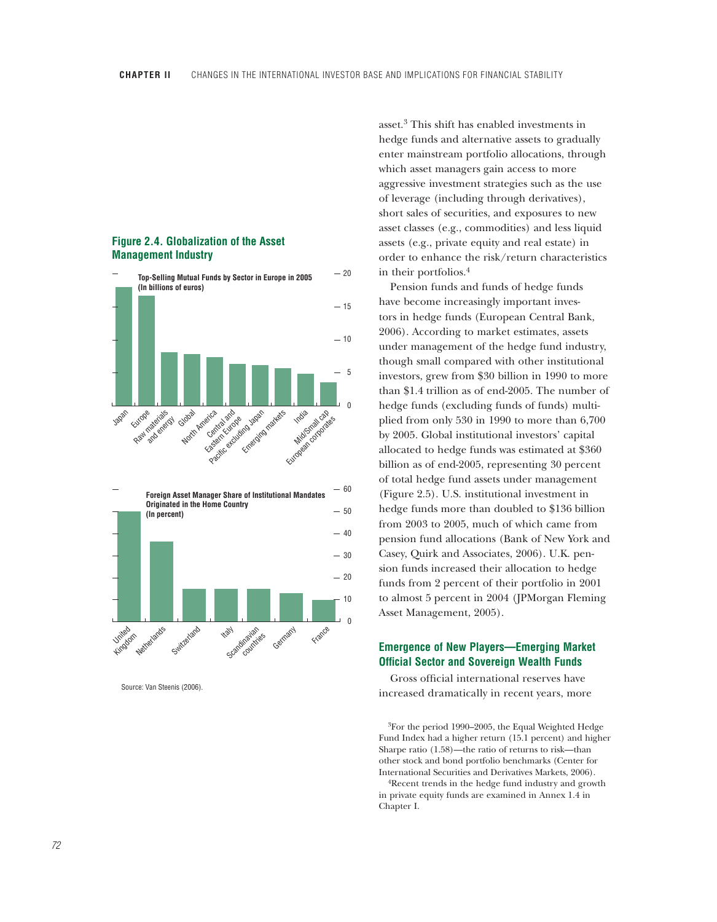### **Figure 2.4. Globalization of the Asset Management Industry**



Source: Van Steenis (2006).

asset.3 This shift has enabled investments in hedge funds and alternative assets to gradually enter mainstream portfolio allocations, through which asset managers gain access to more aggressive investment strategies such as the use of leverage (including through derivatives), short sales of securities, and exposures to new asset classes (e.g., commodities) and less liquid assets (e.g., private equity and real estate) in order to enhance the risk/return characteristics in their portfolios.4

Pension funds and funds of hedge funds have become increasingly important investors in hedge funds (European Central Bank, 2006). According to market estimates, assets under management of the hedge fund industry, though small compared with other institutional investors, grew from \$30 billion in 1990 to more than \$1.4 trillion as of end-2005. The number of hedge funds (excluding funds of funds) multiplied from only 530 in 1990 to more than 6,700 by 2005. Global institutional investors' capital allocated to hedge funds was estimated at \$360 billion as of end-2005, representing 30 percent of total hedge fund assets under management (Figure 2.5). U.S. institutional investment in hedge funds more than doubled to \$136 billion from 2003 to 2005, much of which came from pension fund allocations (Bank of New York and Casey, Quirk and Associates, 2006). U.K. pension funds increased their allocation to hedge funds from 2 percent of their portfolio in 2001 to almost 5 percent in 2004 (JPMorgan Fleming Asset Management, 2005).

### **Emergence of New Players––Emerging Market Official Sector and Sovereign Wealth Funds**

Gross official international reserves have increased dramatically in recent years, more

3For the period 1990–2005, the Equal Weighted Hedge Fund Index had a higher return (15.1 percent) and higher Sharpe ratio (1.58)—the ratio of returns to risk—than other stock and bond portfolio benchmarks (Center for International Securities and Derivatives Markets, 2006). 4Recent trends in the hedge fund industry and growth

in private equity funds are examined in Annex 1.4 in Chapter I.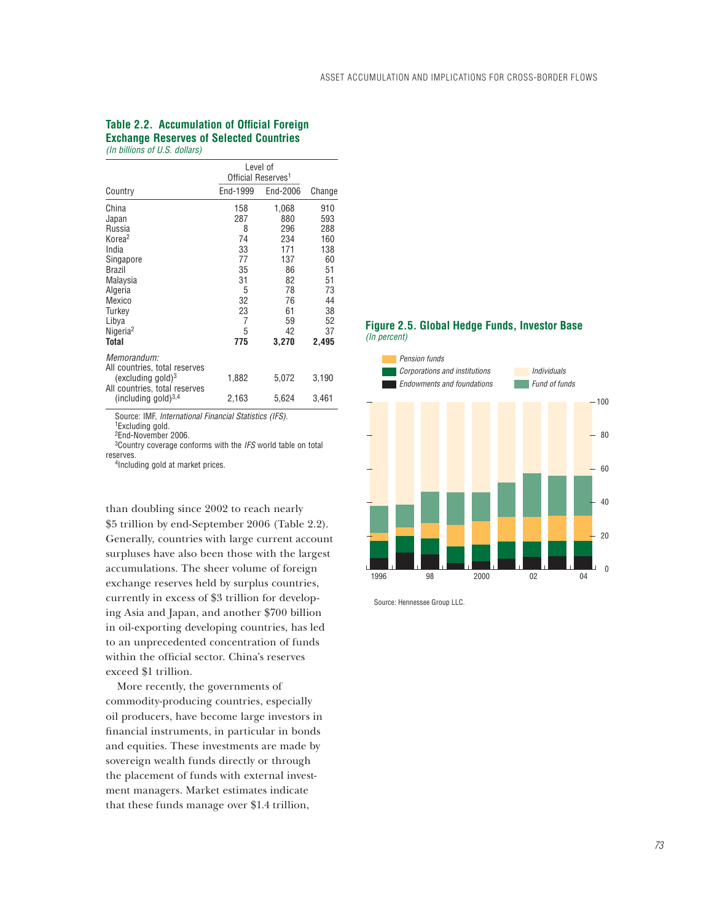### **Table 2.2. Accumulation of Official Foreign Exchange Reserves of Selected Countries**

(In billions of U.S. dollars)

|                                                                                                                                                                            | Level of<br>Official Reserves <sup>1</sup>                                      |                                                                                             |                                                                                          |
|----------------------------------------------------------------------------------------------------------------------------------------------------------------------------|---------------------------------------------------------------------------------|---------------------------------------------------------------------------------------------|------------------------------------------------------------------------------------------|
| Country                                                                                                                                                                    | End-1999                                                                        | End-2006                                                                                    | Change                                                                                   |
| China<br>Japan<br>Russia<br>Korea <sup>2</sup><br>India<br>Singapore<br><b>Brazil</b><br>Malaysia<br>Algeria<br>Mexico<br>Turkey<br>Libya<br>Nigeria <sup>2</sup><br>Total | 158<br>287<br>8<br>74<br>33<br>77<br>35<br>31<br>5<br>32<br>23<br>7<br>5<br>775 | 1,068<br>880<br>296<br>234<br>171<br>137<br>86<br>82<br>78<br>76<br>61<br>59<br>42<br>3.270 | 910<br>593<br>288<br>160<br>138<br>60<br>51<br>51<br>73<br>44<br>38<br>52<br>37<br>2,495 |
| Memorandum:<br>All countries, total reserves<br>(excluding gold) <sup>3</sup><br>All countries, total reserves<br>(including gold) $3,4$                                   | 1,882<br>2,163                                                                  | 5,072<br>5,624                                                                              | 3,190<br>3,461                                                                           |

Source: IMF, International Financial Statistics (IFS).

1Excluding gold.

2End-November 2006.

<sup>3</sup>Country coverage conforms with the IFS world table on total reserves.

4Including gold at market prices.

than doubling since 2002 to reach nearly \$5 trillion by end-September 2006 (Table 2.2). Generally, countries with large current account surpluses have also been those with the largest accumulations. The sheer volume of foreign exchange reserves held by surplus countries, currently in excess of \$3 trillion for developing Asia and Japan, and another \$700 billion in oil-exporting developing countries, has led to an unprecedented concentration of funds within the official sector. China's reserves exceed \$1 trillion.

More recently, the governments of commodity-producing countries, especially oil producers, have become large investors in financial instruments, in particular in bonds and equities. These investments are made by sovereign wealth funds directly or through the placement of funds with external investment managers. Market estimates indicate that these funds manage over \$1.4 trillion,

### **Figure 2.5. Global Hedge Funds, Investor Base** (In percent)



Source: Hennessee Group LLC.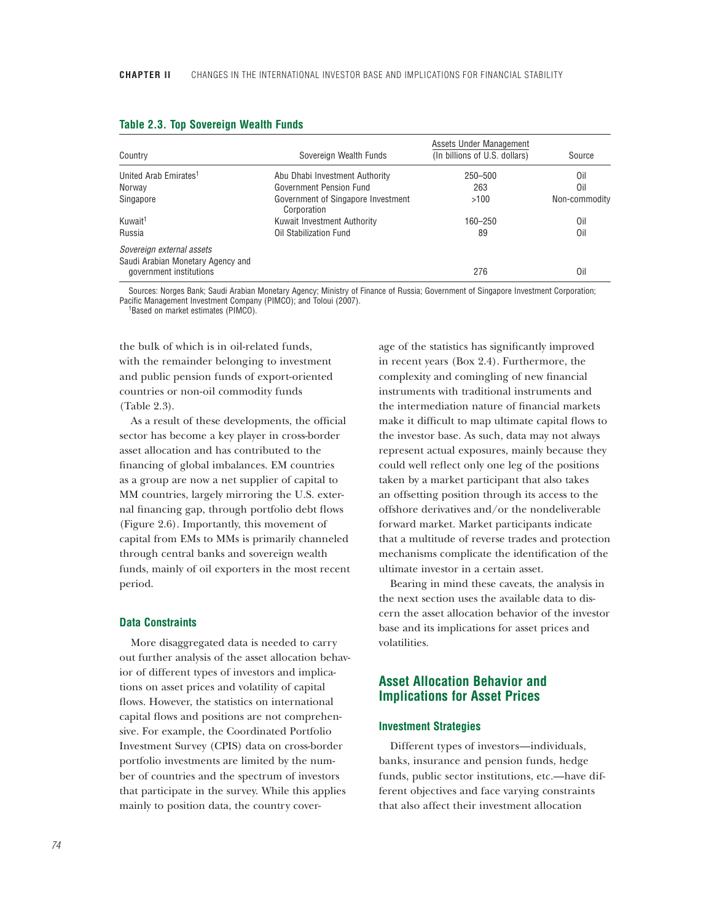| Country                                                        | Sovereign Wealth Funds                            | Assets Under Management<br>(In billions of U.S. dollars) | Source        |
|----------------------------------------------------------------|---------------------------------------------------|----------------------------------------------------------|---------------|
| United Arab Emirates <sup>1</sup>                              | Abu Dhabi Investment Authority                    | $250 - 500$                                              | Oil           |
| Norway                                                         | Government Pension Fund                           | 263                                                      | Oil           |
| Singapore                                                      | Government of Singapore Investment<br>Corporation | >100                                                     | Non-commodity |
| Kuwait <sup>1</sup>                                            | Kuwait Investment Authority                       | 160-250                                                  | Oil           |
| Russia                                                         | Oil Stabilization Fund                            | 89                                                       | Oil           |
| Sovereign external assets<br>Saudi Arabian Monetary Agency and |                                                   |                                                          |               |
| government institutions                                        |                                                   | 276                                                      | Oil           |

#### **Table 2.3. Top Sovereign Wealth Funds**

Sources: Norges Bank; Saudi Arabian Monetary Agency; Ministry of Finance of Russia; Government of Singapore Investment Corporation; Pacific Management Investment Company (PIMCO); and Toloui (2007).

1Based on market estimates (PIMCO).

the bulk of which is in oil-related funds, with the remainder belonging to investment and public pension funds of export-oriented countries or non-oil commodity funds (Table 2.3).

As a result of these developments, the official sector has become a key player in cross-border asset allocation and has contributed to the financing of global imbalances. EM countries as a group are now a net supplier of capital to MM countries, largely mirroring the U.S. external financing gap, through portfolio debt flows (Figure 2.6). Importantly, this movement of capital from EMs to MMs is primarily channeled through central banks and sovereign wealth funds, mainly of oil exporters in the most recent period.

### **Data Constraints**

More disaggregated data is needed to carry out further analysis of the asset allocation behavior of different types of investors and implications on asset prices and volatility of capital flows. However, the statistics on international capital flows and positions are not comprehensive. For example, the Coordinated Portfolio Investment Survey (CPIS) data on cross-border portfolio investments are limited by the number of countries and the spectrum of investors that participate in the survey. While this applies mainly to position data, the country cover-

age of the statistics has significantly improved in recent years (Box 2.4). Furthermore, the complexity and comingling of new financial instruments with traditional instruments and the intermediation nature of financial markets make it difficult to map ultimate capital flows to the investor base. As such, data may not always represent actual exposures, mainly because they could well reflect only one leg of the positions taken by a market participant that also takes an offsetting position through its access to the offshore derivatives and/or the nondeliverable forward market. Market participants indicate that a multitude of reverse trades and protection mechanisms complicate the identification of the ultimate investor in a certain asset.

Bearing in mind these caveats, the analysis in the next section uses the available data to discern the asset allocation behavior of the investor base and its implications for asset prices and volatilities.

# **Asset Allocation Behavior and Implications for Asset Prices**

### **Investment Strategies**

Different types of investors—individuals, banks, insurance and pension funds, hedge funds, public sector institutions, etc.—have different objectives and face varying constraints that also affect their investment allocation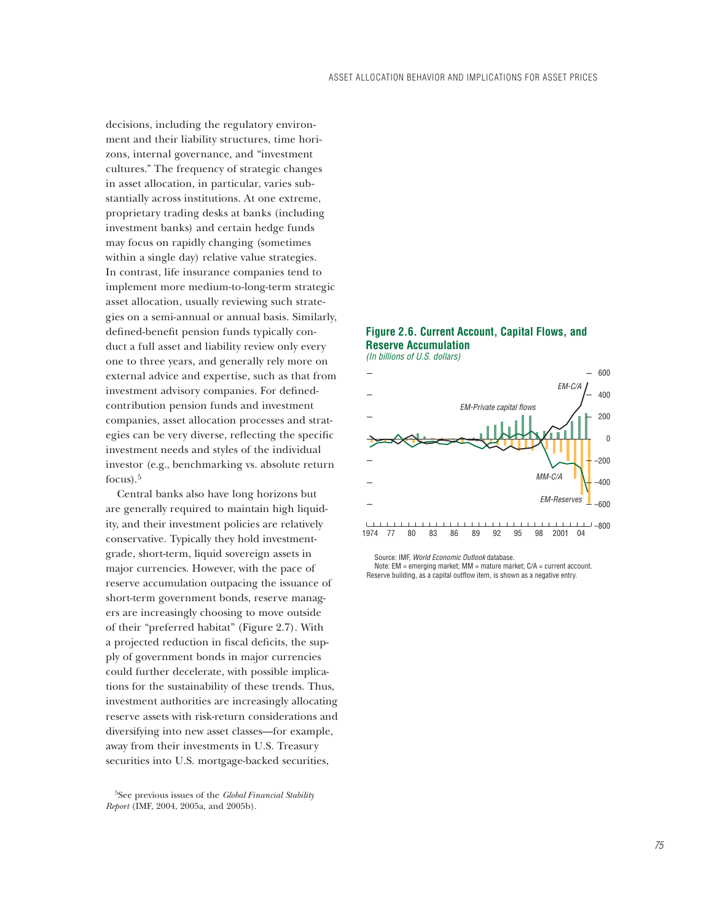decisions, including the regulatory environment and their liability structures, time horizons, internal governance, and "investment cultures." The frequency of strategic changes in asset allocation, in particular, varies substantially across institutions. At one extreme, proprietary trading desks at banks (including investment banks) and certain hedge funds may focus on rapidly changing (sometimes within a single day) relative value strategies. In contrast, life insurance companies tend to implement more medium-to-long-term strategic asset allocation, usually reviewing such strategies on a semi-annual or annual basis. Similarly, defined-benefit pension funds typically conduct a full asset and liability review only every one to three years, and generally rely more on external advice and expertise, such as that from investment advisory companies. For definedcontribution pension funds and investment companies, asset allocation processes and strategies can be very diverse, reflecting the specific investment needs and styles of the individual investor (e.g., benchmarking vs. absolute return focus). $5$ 

Central banks also have long horizons but are generally required to maintain high liquidity, and their investment policies are relatively conservative. Typically they hold investmentgrade, short-term, liquid sovereign assets in major currencies. However, with the pace of reserve accumulation outpacing the issuance of short-term government bonds, reserve managers are increasingly choosing to move outside of their "preferred habitat" (Figure 2.7). With a projected reduction in fiscal deficits, the supply of government bonds in major currencies could further decelerate, with possible implications for the sustainability of these trends. Thus, investment authorities are increasingly allocating reserve assets with risk-return considerations and diversifying into new asset classes—for example, away from their investments in U.S. Treasury securities into U.S. mortgage-backed securities,

5See previous issues of the *Global Financial Stability Report* (IMF, 2004, 2005a, and 2005b).



**Figure 2.6. Current Account, Capital Flows, and Reserve Accumulation**

(In billions of U.S. dollars)

Source: IMF, World Economic Outlook database.

Note: EM = emerging market; MM = mature market; C/A = current account. Reserve building, as a capital outflow item, is shown as a negative entry.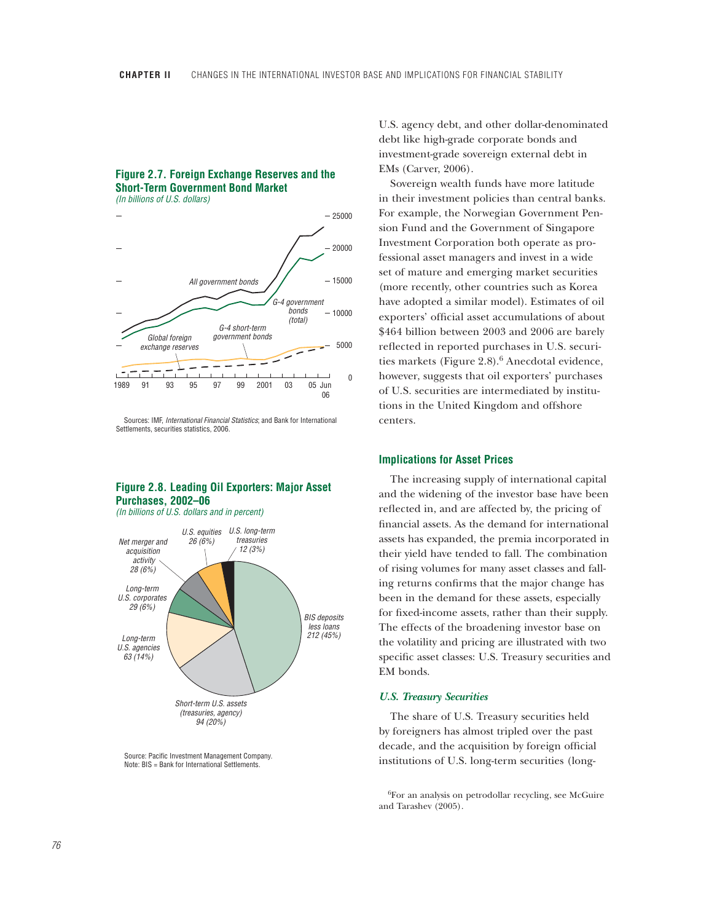# **Figure 2.7. Foreign Exchange Reserves and the Short-Term Government Bond Market**

(In billions of U.S. dollars)



Sources: IMF, International Financial Statistics; and Bank for International Settlements, securities statistics, 2006.

### **Figure 2.8. Leading Oil Exporters: Major Asset Purchases, 2002–06**

(In billions of U.S. dollars and in percent)



Source: Pacific Investment Management Company. Note: BIS = Bank for International Settlements.

U.S. agency debt, and other dollar-denominated debt like high-grade corporate bonds and investment-grade sovereign external debt in EMs (Carver, 2006).

Sovereign wealth funds have more latitude in their investment policies than central banks. For example, the Norwegian Government Pension Fund and the Government of Singapore Investment Corporation both operate as professional asset managers and invest in a wide set of mature and emerging market securities (more recently, other countries such as Korea have adopted a similar model). Estimates of oil exporters' official asset accumulations of about \$464 billion between 2003 and 2006 are barely reflected in reported purchases in U.S. securities markets (Figure 2.8).<sup>6</sup> Anecdotal evidence, however, suggests that oil exporters' purchases of U.S. securities are intermediated by institutions in the United Kingdom and offshore centers.

### **Implications for Asset Prices**

The increasing supply of international capital and the widening of the investor base have been reflected in, and are affected by, the pricing of financial assets. As the demand for international assets has expanded, the premia incorporated in their yield have tended to fall. The combination of rising volumes for many asset classes and falling returns confirms that the major change has been in the demand for these assets, especially for fixed-income assets, rather than their supply. The effects of the broadening investor base on the volatility and pricing are illustrated with two specific asset classes: U.S. Treasury securities and EM bonds.

#### *U.S. Treasury Securities*

The share of U.S. Treasury securities held by foreigners has almost tripled over the past decade, and the acquisition by foreign official institutions of U.S. long-term securities (long-

<sup>6</sup>For an analysis on petrodollar recycling, see McGuire and Tarashev (2005).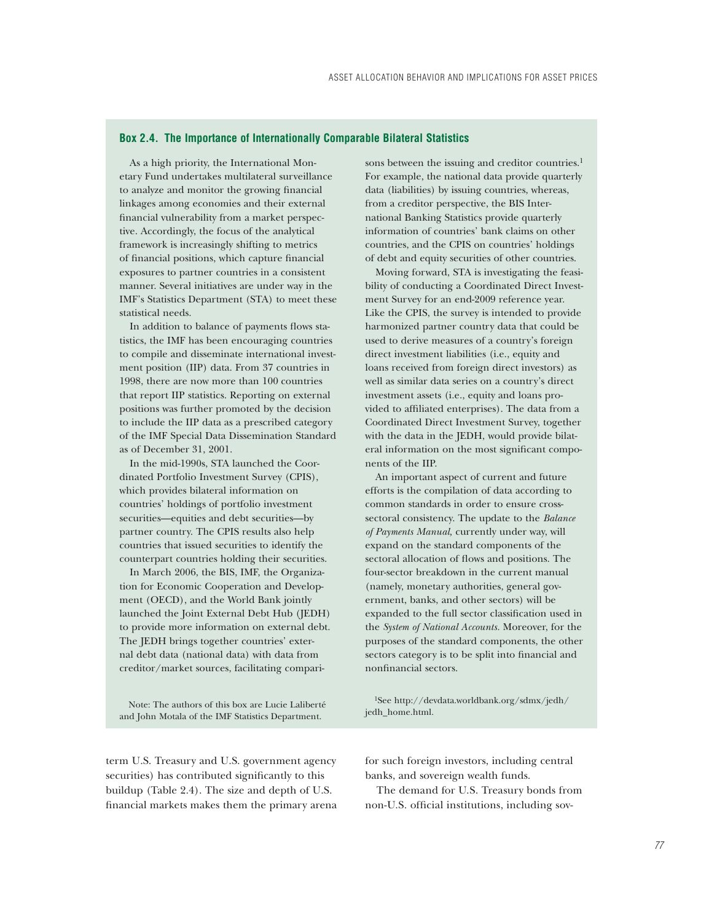### **Box 2.4. The Importance of Internationally Comparable Bilateral Statistics**

As a high priority, the International Monetary Fund undertakes multilateral surveillance to analyze and monitor the growing financial linkages among economies and their external financial vulnerability from a market perspective. Accordingly, the focus of the analytical framework is increasingly shifting to metrics of financial positions, which capture financial exposures to partner countries in a consistent manner. Several initiatives are under way in the IMF's Statistics Department (STA) to meet these statistical needs.

In addition to balance of payments flows statistics, the IMF has been encouraging countries to compile and disseminate international investment position (IIP) data. From 37 countries in 1998, there are now more than 100 countries that report IIP statistics. Reporting on external positions was further promoted by the decision to include the IIP data as a prescribed category of the IMF Special Data Dissemination Standard as of December 31, 2001.

In the mid-1990s, STA launched the Coordinated Portfolio Investment Survey (CPIS), which provides bilateral information on countries' holdings of portfolio investment securities—equities and debt securities—by partner country. The CPIS results also help countries that issued securities to identify the counterpart countries holding their securities.

In March 2006, the BIS, IMF, the Organization for Economic Cooperation and Development (OECD), and the World Bank jointly launched the Joint External Debt Hub (JEDH) to provide more information on external debt. The JEDH brings together countries' external debt data (national data) with data from creditor/market sources, facilitating compari-

Note: The authors of this box are Lucie Laliberté and John Motala of the IMF Statistics Department.

sons between the issuing and creditor countries.<sup>1</sup> For example, the national data provide quarterly data (liabilities) by issuing countries, whereas, from a creditor perspective, the BIS International Banking Statistics provide quarterly information of countries' bank claims on other countries, and the CPIS on countries' holdings of debt and equity securities of other countries.

Moving forward, STA is investigating the feasibility of conducting a Coordinated Direct Investment Survey for an end-2009 reference year. Like the CPIS, the survey is intended to provide harmonized partner country data that could be used to derive measures of a country's foreign direct investment liabilities (i.e., equity and loans received from foreign direct investors) as well as similar data series on a country's direct investment assets (i.e., equity and loans provided to affiliated enterprises). The data from a Coordinated Direct Investment Survey, together with the data in the JEDH, would provide bilateral information on the most significant components of the IIP.

An important aspect of current and future efforts is the compilation of data according to common standards in order to ensure crosssectoral consistency. The update to the *Balance of Payments Manual,* currently under way, will expand on the standard components of the sectoral allocation of flows and positions. The four-sector breakdown in the current manual (namely, monetary authorities, general government, banks, and other sectors) will be expanded to the full sector classification used in the *System of National Accounts.* Moreover, for the purposes of the standard components, the other sectors category is to be split into financial and nonfinancial sectors.

1See http://devdata.worldbank.org/sdmx/jedh/ jedh\_home.html.

term U.S. Treasury and U.S. government agency securities) has contributed significantly to this buildup (Table 2.4). The size and depth of U.S. financial markets makes them the primary arena

for such foreign investors, including central banks, and sovereign wealth funds.

The demand for U.S. Treasury bonds from non-U.S. official institutions, including sov-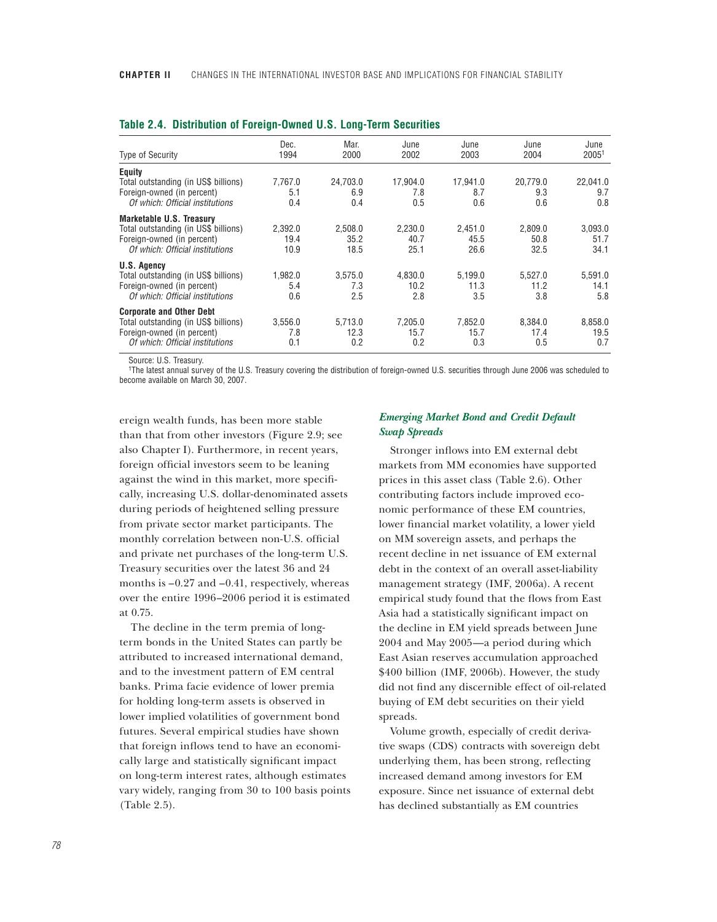|                                      | Dec.    | Mar.     | June     | June     | June     | June              |
|--------------------------------------|---------|----------|----------|----------|----------|-------------------|
| <b>Type of Security</b>              | 1994    | 2000     | 2002     | 2003     | 2004     | 2005 <sup>1</sup> |
| Equity                               |         |          |          |          |          |                   |
| Total outstanding (in US\$ billions) | 7.767.0 | 24.703.0 | 17.904.0 | 17.941.0 | 20,779.0 | 22,041.0          |
| Foreign-owned (in percent)           | 5.1     | 6.9      | 7.8      | 8.7      | 9.3      | 9.7               |
| Of which: Official institutions      | 0.4     | 0.4      | 0.5      | 0.6      | 0.6      | 0.8               |
| Marketable U.S. Treasury             |         |          |          |          |          |                   |
| Total outstanding (in US\$ billions) | 2.392.0 | 2.508.0  | 2.230.0  | 2.451.0  | 2.809.0  | 3,093.0           |
| Foreign-owned (in percent)           | 19.4    | 35.2     | 40.7     | 45.5     | 50.8     | 51.7              |
| Of which: Official institutions      | 10.9    | 18.5     | 25.1     | 26.6     | 32.5     | 34.1              |
| U.S. Agency                          |         |          |          |          |          |                   |
| Total outstanding (in US\$ billions) | 1,982.0 | 3.575.0  | 4.830.0  | 5.199.0  | 5.527.0  | 5.591.0           |
| Foreign-owned (in percent)           | 5.4     | 7.3      | 10.2     | 11.3     | 11.2     | 14.1              |
| Of which: Official institutions      | 0.6     | 2.5      | 2.8      | 3.5      | 3.8      | 5.8               |
| <b>Corporate and Other Debt</b>      |         |          |          |          |          |                   |
| Total outstanding (in US\$ billions) | 3.556.0 | 5.713.0  | 7.205.0  | 7.852.0  | 8.384.0  | 8.858.0           |
| Foreign-owned (in percent)           | 7.8     | 12.3     | 15.7     | 15.7     | 17.4     | 19.5              |
| Of which: Official institutions      | 0.1     | 0.2      | 0.2      | 0.3      | 0.5      | 0.7               |
|                                      |         |          |          |          |          |                   |

### **Table 2.4. Distribution of Foreign-Owned U.S. Long-Term Securities**

Source: U.S. Treasury.

1The latest annual survey of the U.S. Treasury covering the distribution of foreign-owned U.S. securities through June 2006 was scheduled to become available on March 30, 2007.

ereign wealth funds, has been more stable than that from other investors (Figure 2.9; see also Chapter I). Furthermore, in recent years, foreign official investors seem to be leaning against the wind in this market, more specifically, increasing U.S. dollar-denominated assets during periods of heightened selling pressure from private sector market participants. The monthly correlation between non-U.S. official and private net purchases of the long-term U.S. Treasury securities over the latest 36 and 24 months is –0.27 and –0.41, respectively, whereas over the entire 1996–2006 period it is estimated at 0.75.

The decline in the term premia of longterm bonds in the United States can partly be attributed to increased international demand, and to the investment pattern of EM central banks. Prima facie evidence of lower premia for holding long-term assets is observed in lower implied volatilities of government bond futures. Several empirical studies have shown that foreign inflows tend to have an economically large and statistically significant impact on long-term interest rates, although estimates vary widely, ranging from 30 to 100 basis points (Table 2.5).

### *Emerging Market Bond and Credit Default Swap Spreads*

Stronger inflows into EM external debt markets from MM economies have supported prices in this asset class (Table 2.6). Other contributing factors include improved economic performance of these EM countries, lower financial market volatility, a lower yield on MM sovereign assets, and perhaps the recent decline in net issuance of EM external debt in the context of an overall asset-liability management strategy (IMF, 2006a). A recent empirical study found that the flows from East Asia had a statistically significant impact on the decline in EM yield spreads between June 2004 and May 2005—a period during which East Asian reserves accumulation approached \$400 billion (IMF, 2006b). However, the study did not find any discernible effect of oil-related buying of EM debt securities on their yield spreads.

Volume growth, especially of credit derivative swaps (CDS) contracts with sovereign debt underlying them, has been strong, reflecting increased demand among investors for EM exposure. Since net issuance of external debt has declined substantially as EM countries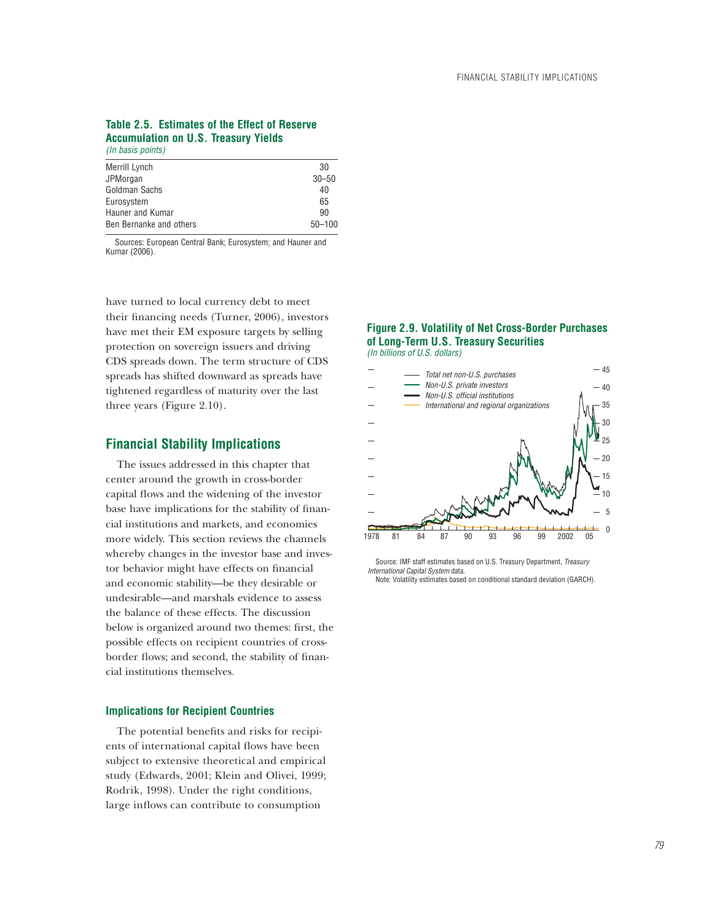### **Table 2.5. Estimates of the Effect of Reserve Accumulation on U.S. Treasury Yields** (In basis points)

| $1.1.1$ such $5.0.1.1.0$ |            |
|--------------------------|------------|
| Merrill Lynch            | 30         |
| JPMorgan                 | $30 - 50$  |
| Goldman Sachs            | 40         |
| Eurosystem               | 65         |
| Hauner and Kumar         | 90         |
| Ben Bernanke and others  | $50 - 100$ |
|                          |            |

Sources: European Central Bank; Eurosystem; and Hauner and Kumar (2006).

have turned to local currency debt to meet their financing needs (Turner, 2006), investors have met their EM exposure targets by selling protection on sovereign issuers and driving CDS spreads down. The term structure of CDS spreads has shifted downward as spreads have tightened regardless of maturity over the last three years (Figure 2.10).

# **Financial Stability Implications**

The issues addressed in this chapter that center around the growth in cross-border capital flows and the widening of the investor base have implications for the stability of financial institutions and markets, and economies more widely. This section reviews the channels whereby changes in the investor base and investor behavior might have effects on financial and economic stability—be they desirable or undesirable—and marshals evidence to assess the balance of these effects. The discussion below is organized around two themes: first, the possible effects on recipient countries of crossborder flows; and second, the stability of financial institutions themselves.

### **Implications for Recipient Countries**

The potential benefits and risks for recipients of international capital flows have been subject to extensive theoretical and empirical study (Edwards, 2001; Klein and Olivei, 1999; Rodrik, 1998). Under the right conditions, large inflows can contribute to consumption

### **Figure 2.9. Volatility of Net Cross-Border Purchases of Long-Term U.S. Treasury Securities** (In billions of U.S. dollars)



Source: IMF staff estimates based on U.S. Treasury Department, Treasury International Capital System data. Note: Volatility estimates based on conditional standard deviation (GARCH).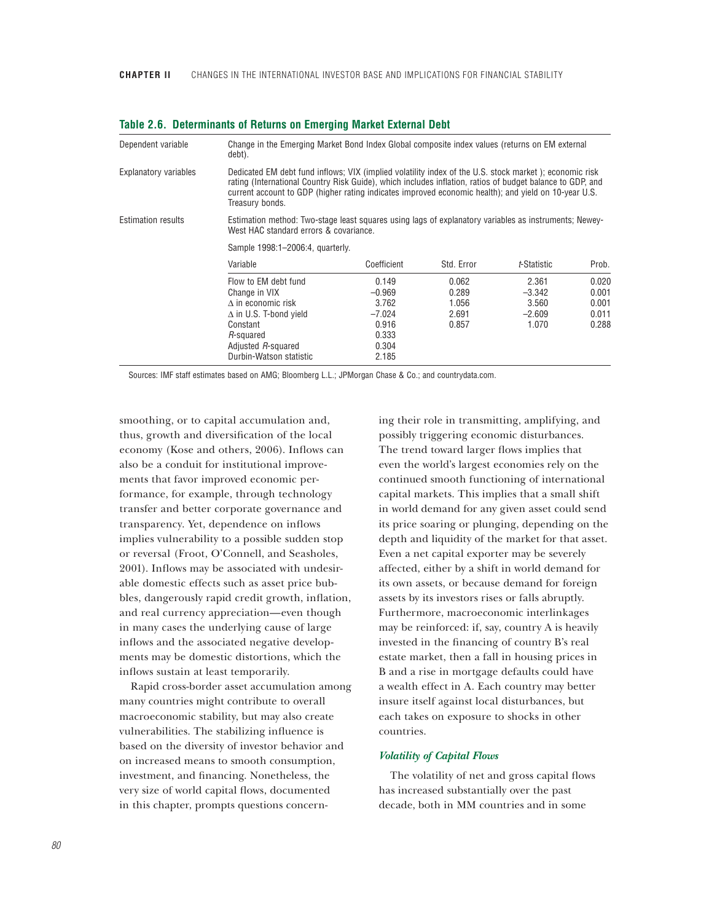| Dependent variable           | Change in the Emerging Market Bond Index Global composite index values (returns on EM external<br>debt).                                                                                                                                                                                                                                       |                                                                            |                                           |                                                 |                                           |  |  |  |  |  |
|------------------------------|------------------------------------------------------------------------------------------------------------------------------------------------------------------------------------------------------------------------------------------------------------------------------------------------------------------------------------------------|----------------------------------------------------------------------------|-------------------------------------------|-------------------------------------------------|-------------------------------------------|--|--|--|--|--|
| <b>Explanatory variables</b> | Dedicated EM debt fund inflows; VIX (implied volatility index of the U.S. stock market); economic risk<br>rating (International Country Risk Guide), which includes inflation, ratios of budget balance to GDP, and<br>current account to GDP (higher rating indicates improved economic health); and yield on 10-year U.S.<br>Treasury bonds. |                                                                            |                                           |                                                 |                                           |  |  |  |  |  |
| <b>Estimation results</b>    | Estimation method: Two-stage least squares using lags of explanatory variables as instruments; Newey-<br>West HAC standard errors & covariance.                                                                                                                                                                                                |                                                                            |                                           |                                                 |                                           |  |  |  |  |  |
|                              | Sample 1998:1-2006:4, quarterly.                                                                                                                                                                                                                                                                                                               |                                                                            |                                           |                                                 |                                           |  |  |  |  |  |
|                              | Variable                                                                                                                                                                                                                                                                                                                                       | Coefficient                                                                | Std. Error                                | <i>t</i> -Statistic                             | Prob.                                     |  |  |  |  |  |
|                              | Flow to EM debt fund<br>Change in VIX<br>$\Lambda$ in economic risk<br>$\Delta$ in U.S. T-bond yield<br>Constant<br>R-squared<br>Adjusted R-squared<br>Durbin-Watson statistic                                                                                                                                                                 | 0.149<br>$-0.969$<br>3.762<br>$-7.024$<br>0.916<br>0.333<br>0.304<br>2.185 | 0.062<br>0.289<br>1.056<br>2.691<br>0.857 | 2.361<br>$-3.342$<br>3.560<br>$-2.609$<br>1.070 | 0.020<br>0.001<br>0.001<br>0.011<br>0.288 |  |  |  |  |  |

**Table 2.6. Determinants of Returns on Emerging Market External Debt**

Sources: IMF staff estimates based on AMG; Bloomberg L.L.; JPMorgan Chase & Co.; and countrydata.com.

smoothing, or to capital accumulation and, thus, growth and diversification of the local economy (Kose and others, 2006). Inflows can also be a conduit for institutional improvements that favor improved economic performance, for example, through technology transfer and better corporate governance and transparency. Yet, dependence on inflows implies vulnerability to a possible sudden stop or reversal (Froot, O'Connell, and Seasholes, 2001). Inflows may be associated with undesirable domestic effects such as asset price bubbles, dangerously rapid credit growth, inflation, and real currency appreciation—even though in many cases the underlying cause of large inflows and the associated negative developments may be domestic distortions, which the inflows sustain at least temporarily.

Rapid cross-border asset accumulation among many countries might contribute to overall macroeconomic stability, but may also create vulnerabilities. The stabilizing influence is based on the diversity of investor behavior and on increased means to smooth consumption, investment, and financing. Nonetheless, the very size of world capital flows, documented in this chapter, prompts questions concern-

ing their role in transmitting, amplifying, and possibly triggering economic disturbances. The trend toward larger flows implies that even the world's largest economies rely on the continued smooth functioning of international capital markets. This implies that a small shift in world demand for any given asset could send its price soaring or plunging, depending on the depth and liquidity of the market for that asset. Even a net capital exporter may be severely affected, either by a shift in world demand for its own assets, or because demand for foreign assets by its investors rises or falls abruptly. Furthermore, macroeconomic interlinkages may be reinforced: if, say, country A is heavily invested in the financing of country B's real estate market, then a fall in housing prices in B and a rise in mortgage defaults could have a wealth effect in A. Each country may better insure itself against local disturbances, but each takes on exposure to shocks in other countries.

### *Volatility of Capital Flows*

The volatility of net and gross capital flows has increased substantially over the past decade, both in MM countries and in some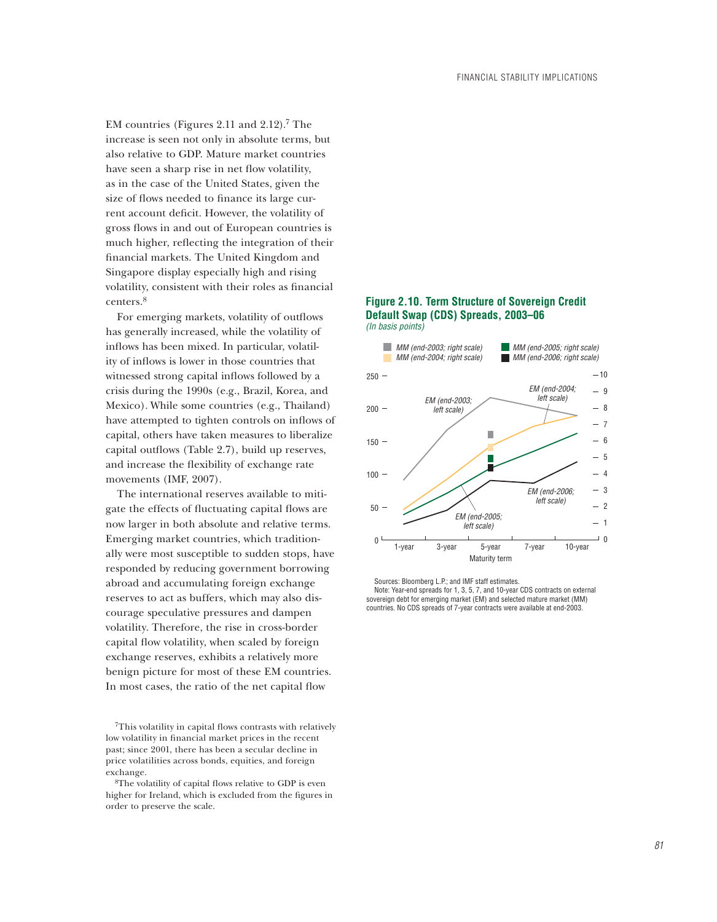EM countries (Figures 2.11 and 2.12).7 The increase is seen not only in absolute terms, but also relative to GDP. Mature market countries have seen a sharp rise in net flow volatility, as in the case of the United States, given the size of flows needed to finance its large current account deficit. However, the volatility of gross flows in and out of European countries is much higher, reflecting the integration of their financial markets. The United Kingdom and Singapore display especially high and rising volatility, consistent with their roles as financial centers.8

For emerging markets, volatility of outflows has generally increased, while the volatility of inflows has been mixed. In particular, volatility of inflows is lower in those countries that witnessed strong capital inflows followed by a crisis during the 1990s (e.g., Brazil, Korea, and Mexico). While some countries (e.g., Thailand) have attempted to tighten controls on inflows of capital, others have taken measures to liberalize capital outflows (Table 2.7), build up reserves, and increase the flexibility of exchange rate movements (IMF, 2007).

The international reserves available to mitigate the effects of fluctuating capital flows are now larger in both absolute and relative terms. Emerging market countries, which traditionally were most susceptible to sudden stops, have responded by reducing government borrowing abroad and accumulating foreign exchange reserves to act as buffers, which may also discourage speculative pressures and dampen volatility. Therefore, the rise in cross-border capital flow volatility, when scaled by foreign exchange reserves, exhibits a relatively more benign picture for most of these EM countries. In most cases, the ratio of the net capital flow

7This volatility in capital flows contrasts with relatively low volatility in financial market prices in the recent past; since 2001, there has been a secular decline in price volatilities across bonds, equities, and foreign exchange.

8The volatility of capital flows relative to GDP is even higher for Ireland, which is excluded from the figures in order to preserve the scale.

### **Figure 2.10. Term Structure of Sovereign Credit Default Swap (CDS) Spreads, 2003–06** (In basis points)



Sources: Bloomberg L.P.; and IMF staff estimates. Note: Year-end spreads for 1, 3, 5, 7, and 10-year CDS contracts on external sovereign debt for emerging market (EM) and selected mature market (MM) countries. No CDS spreads of 7-year contracts were available at end-2003.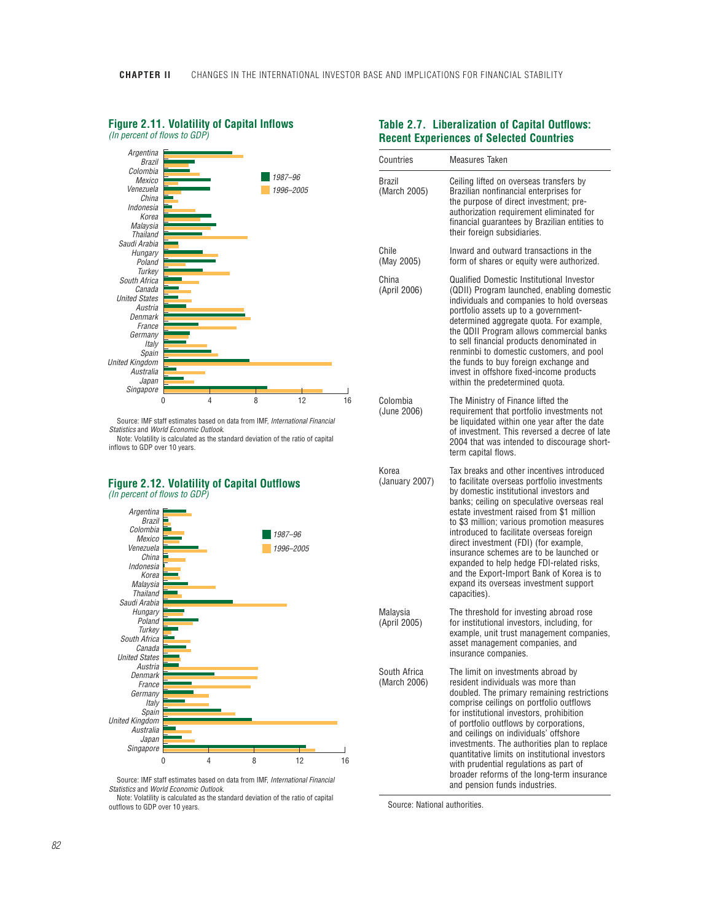

# **Figure 2.11. Volatility of Capital Inflows**

(In percent of flows to GDP)

Source: IMF staff estimates based on data from IMF, International Financial Statistics and World Economic Outlook.

Note: Volatility is calculated as the standard deviation of the ratio of capital inflows to GDP over 10 years.





Source: IMF staff estimates based on data from IMF, International Financial Statistics and World Economic Outlook.

Note: Volatility is calculated as the standard deviation of the ratio of capital outflows to GDP over 10 years.

# **Table 2.7. Liberalization of Capital Outflows: Recent Experiences of Selected Countries**

| Countries                    | <b>Measures Taken</b>                                                                                                                                                                                                                                                                                                                                                                                                                                                                                                                                                |
|------------------------------|----------------------------------------------------------------------------------------------------------------------------------------------------------------------------------------------------------------------------------------------------------------------------------------------------------------------------------------------------------------------------------------------------------------------------------------------------------------------------------------------------------------------------------------------------------------------|
| Brazil<br>(March 2005)       | Ceiling lifted on overseas transfers by<br>Brazilian nonfinancial enterprises for<br>the purpose of direct investment; pre-<br>authorization requirement eliminated for<br>financial guarantees by Brazilian entities to<br>their foreign subsidiaries.                                                                                                                                                                                                                                                                                                              |
| Chile<br>(May 2005)          | Inward and outward transactions in the<br>form of shares or equity were authorized.                                                                                                                                                                                                                                                                                                                                                                                                                                                                                  |
| China<br>(April 2006)        | Qualified Domestic Institutional Investor<br>(QDII) Program launched, enabling domestic<br>individuals and companies to hold overseas<br>portfolio assets up to a government-<br>determined aggregate quota. For example,<br>the QDII Program allows commercial banks<br>to sell financial products denominated in<br>renminbi to domestic customers, and pool<br>the funds to buy foreign exchange and<br>invest in offshore fixed-income products<br>within the predetermined quota.                                                                               |
| Colombia<br>(June 2006)      | The Ministry of Finance lifted the<br>requirement that portfolio investments not<br>be liquidated within one year after the date<br>of investment. This reversed a decree of late<br>2004 that was intended to discourage short-<br>term capital flows.                                                                                                                                                                                                                                                                                                              |
| Korea<br>(January 2007)      | Tax breaks and other incentives introduced<br>to facilitate overseas portfolio investments<br>by domestic institutional investors and<br>banks; ceiling on speculative overseas real<br>estate investment raised from \$1 million<br>to \$3 million; various promotion measures<br>introduced to facilitate overseas foreign<br>direct investment (FDI) (for example,<br>insurance schemes are to be launched or<br>expanded to help hedge FDI-related risks,<br>and the Export-Import Bank of Korea is to<br>expand its overseas investment support<br>capacities). |
| Malaysia<br>(April 2005)     | The threshold for investing abroad rose<br>for institutional investors, including, for<br>example, unit trust management companies,<br>asset management companies, and<br>insurance companies.                                                                                                                                                                                                                                                                                                                                                                       |
| South Africa<br>(March 2006) | The limit on investments abroad by<br>resident individuals was more than<br>doubled. The primary remaining restrictions<br>comprise ceilings on portfolio outflows<br>for institutional investors, prohibition<br>of portfolio outflows by corporations,<br>and ceilings on individuals' offshore<br>investments. The authorities plan to replace<br>quantitative limits on institutional investors<br>with prudential regulations as part of<br>broader reforms of the long-term insurance<br>and pension funds industries.                                         |

Source: National authorities.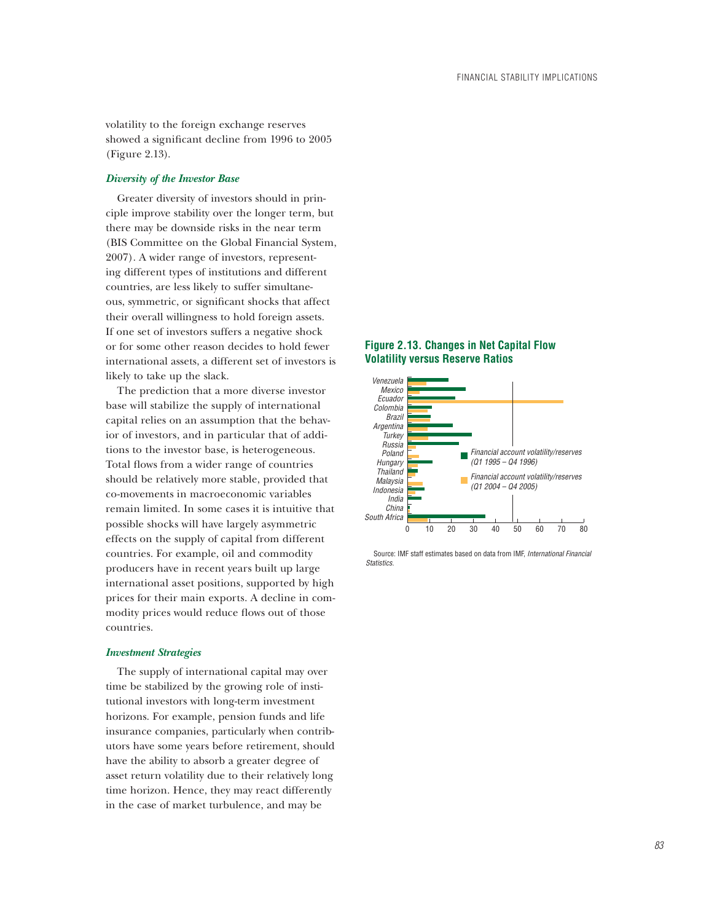volatility to the foreign exchange reserves showed a significant decline from 1996 to 2005 (Figure 2.13).

### *Diversity of the Investor Base*

Greater diversity of investors should in principle improve stability over the longer term, but there may be downside risks in the near term (BIS Committee on the Global Financial System, 2007). A wider range of investors, representing different types of institutions and different countries, are less likely to suffer simultaneous, symmetric, or significant shocks that affect their overall willingness to hold foreign assets. If one set of investors suffers a negative shock or for some other reason decides to hold fewer international assets, a different set of investors is likely to take up the slack.

The prediction that a more diverse investor base will stabilize the supply of international capital relies on an assumption that the behavior of investors, and in particular that of additions to the investor base, is heterogeneous. Total flows from a wider range of countries should be relatively more stable, provided that co-movements in macroeconomic variables remain limited. In some cases it is intuitive that possible shocks will have largely asymmetric effects on the supply of capital from different countries. For example, oil and commodity producers have in recent years built up large international asset positions, supported by high prices for their main exports. A decline in commodity prices would reduce flows out of those countries.

### *Investment Strategies*

The supply of international capital may over time be stabilized by the growing role of institutional investors with long-term investment horizons. For example, pension funds and life insurance companies, particularly when contributors have some years before retirement, should have the ability to absorb a greater degree of asset return volatility due to their relatively long time horizon. Hence, they may react differently in the case of market turbulence, and may be

### **Figure 2.13. Changes in Net Capital Flow Volatility versus Reserve Ratios**



Source: IMF staff estimates based on data from IMF, International Financial Statistics.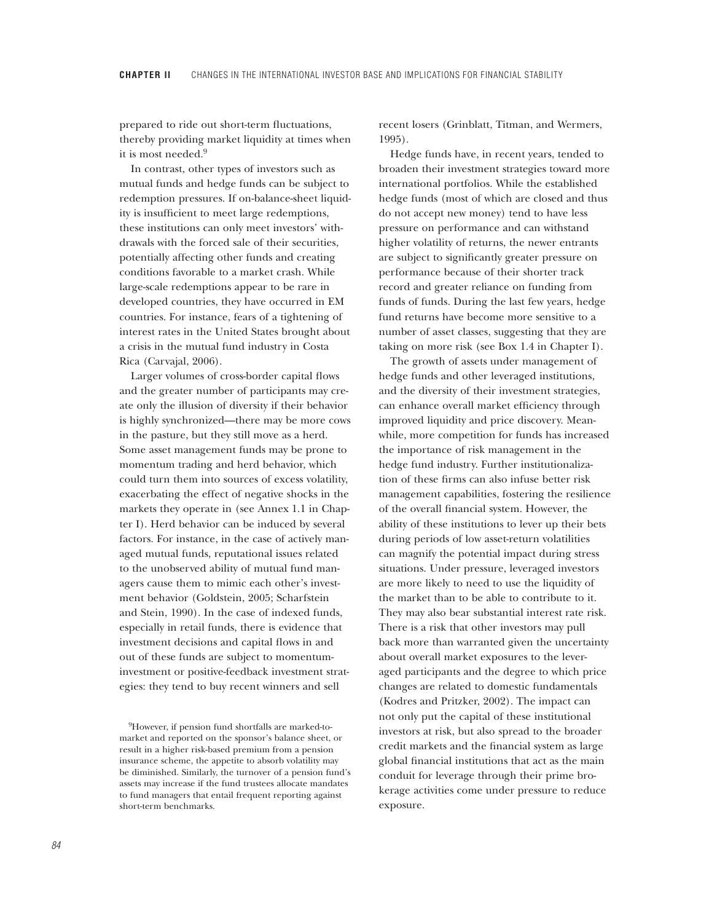prepared to ride out short-term fluctuations, thereby providing market liquidity at times when it is most needed.<sup>9</sup>

In contrast, other types of investors such as mutual funds and hedge funds can be subject to redemption pressures. If on-balance-sheet liquidity is insufficient to meet large redemptions, these institutions can only meet investors' withdrawals with the forced sale of their securities, potentially affecting other funds and creating conditions favorable to a market crash. While large-scale redemptions appear to be rare in developed countries, they have occurred in EM countries. For instance, fears of a tightening of interest rates in the United States brought about a crisis in the mutual fund industry in Costa Rica (Carvajal, 2006).

Larger volumes of cross-border capital flows and the greater number of participants may create only the illusion of diversity if their behavior is highly synchronized—there may be more cows in the pasture, but they still move as a herd. Some asset management funds may be prone to momentum trading and herd behavior, which could turn them into sources of excess volatility, exacerbating the effect of negative shocks in the markets they operate in (see Annex 1.1 in Chapter I). Herd behavior can be induced by several factors. For instance, in the case of actively managed mutual funds, reputational issues related to the unobserved ability of mutual fund managers cause them to mimic each other's investment behavior (Goldstein, 2005; Scharfstein and Stein, 1990). In the case of indexed funds, especially in retail funds, there is evidence that investment decisions and capital flows in and out of these funds are subject to momentuminvestment or positive-feedback investment strategies: they tend to buy recent winners and sell

recent losers (Grinblatt, Titman, and Wermers, 1995).

Hedge funds have, in recent years, tended to broaden their investment strategies toward more international portfolios. While the established hedge funds (most of which are closed and thus do not accept new money) tend to have less pressure on performance and can withstand higher volatility of returns, the newer entrants are subject to significantly greater pressure on performance because of their shorter track record and greater reliance on funding from funds of funds. During the last few years, hedge fund returns have become more sensitive to a number of asset classes, suggesting that they are taking on more risk (see Box 1.4 in Chapter I).

The growth of assets under management of hedge funds and other leveraged institutions, and the diversity of their investment strategies, can enhance overall market efficiency through improved liquidity and price discovery. Meanwhile, more competition for funds has increased the importance of risk management in the hedge fund industry. Further institutionalization of these firms can also infuse better risk management capabilities, fostering the resilience of the overall financial system. However, the ability of these institutions to lever up their bets during periods of low asset-return volatilities can magnify the potential impact during stress situations. Under pressure, leveraged investors are more likely to need to use the liquidity of the market than to be able to contribute to it. They may also bear substantial interest rate risk. There is a risk that other investors may pull back more than warranted given the uncertainty about overall market exposures to the leveraged participants and the degree to which price changes are related to domestic fundamentals (Kodres and Pritzker, 2002). The impact can not only put the capital of these institutional investors at risk, but also spread to the broader credit markets and the financial system as large global financial institutions that act as the main conduit for leverage through their prime brokerage activities come under pressure to reduce exposure.

<sup>9</sup>However, if pension fund shortfalls are marked-tomarket and reported on the sponsor's balance sheet, or result in a higher risk-based premium from a pension insurance scheme, the appetite to absorb volatility may be diminished. Similarly, the turnover of a pension fund's assets may increase if the fund trustees allocate mandates to fund managers that entail frequent reporting against short-term benchmarks.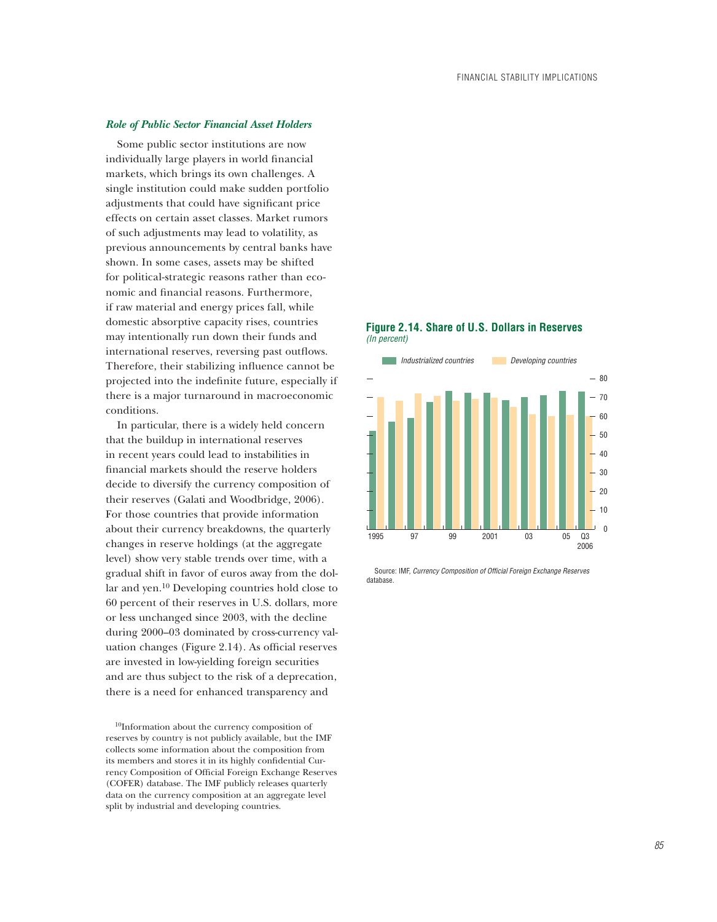### *Role of Public Sector Financial Asset Holders*

Some public sector institutions are now individually large players in world financial markets, which brings its own challenges. A single institution could make sudden portfolio adjustments that could have significant price effects on certain asset classes. Market rumors of such adjustments may lead to volatility, as previous announcements by central banks have shown. In some cases, assets may be shifted for political-strategic reasons rather than economic and financial reasons. Furthermore, if raw material and energy prices fall, while domestic absorptive capacity rises, countries may intentionally run down their funds and international reserves, reversing past outflows. Therefore, their stabilizing influence cannot be projected into the indefinite future, especially if there is a major turnaround in macroeconomic conditions.

In particular, there is a widely held concern that the buildup in international reserves in recent years could lead to instabilities in financial markets should the reserve holders decide to diversify the currency composition of their reserves (Galati and Woodbridge, 2006). For those countries that provide information about their currency breakdowns, the quarterly changes in reserve holdings (at the aggregate level) show very stable trends over time, with a gradual shift in favor of euros away from the dollar and yen.10 Developing countries hold close to 60 percent of their reserves in U.S. dollars, more or less unchanged since 2003, with the decline during 2000–03 dominated by cross-currency valuation changes (Figure 2.14). As official reserves are invested in low-yielding foreign securities and are thus subject to the risk of a deprecation, there is a need for enhanced transparency and

10Information about the currency composition of reserves by country is not publicly available, but the IMF collects some information about the composition from its members and stores it in its highly confidential Currency Composition of Official Foreign Exchange Reserves (COFER) database. The IMF publicly releases quarterly data on the currency composition at an aggregate level split by industrial and developing countries.

**Figure 2.14. Share of U.S. Dollars in Reserves** (In percent)



Source: IMF, Currency Composition of Official Foreign Exchange Reserves database.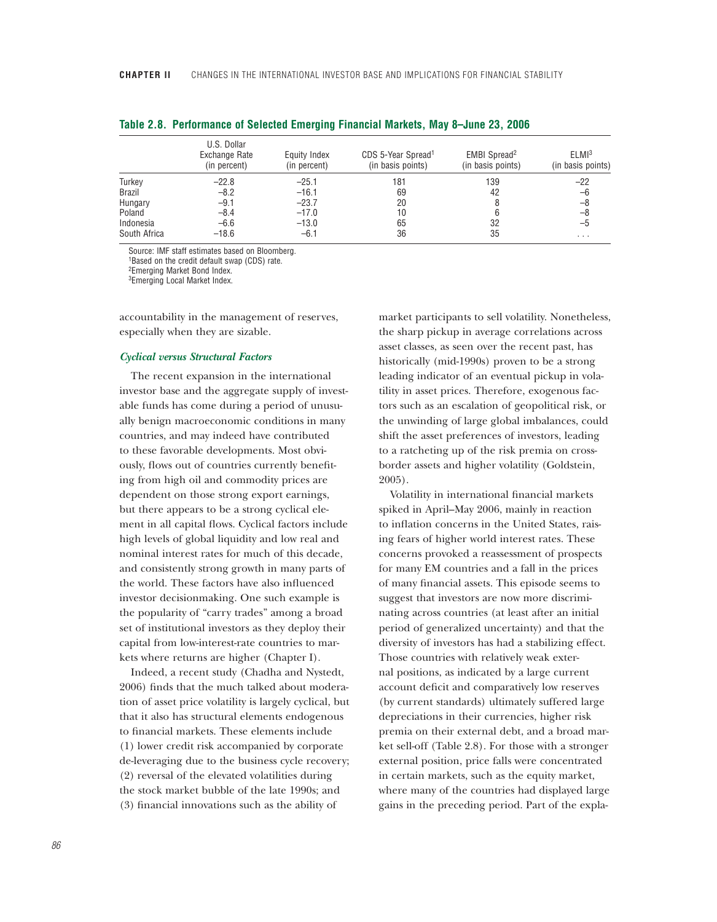|              | U.S. Dollar<br>Exchange Rate<br>(in percent) | Equity Index<br>(in percent) | CDS 5-Year Spread <sup>1</sup><br>(in basis points) | EMBI Spread <sup>2</sup><br>(in basis points) | ELMI <sup>3</sup><br>(in basis points) |
|--------------|----------------------------------------------|------------------------------|-----------------------------------------------------|-----------------------------------------------|----------------------------------------|
| Turkey       | $-22.8$                                      | $-25.1$                      | 181                                                 | 139                                           | $-22$                                  |
| Brazil       | $-8.2$                                       | $-16.1$                      | 69                                                  | 42                                            | $-6$                                   |
| Hungary      | $-9.1$                                       | $-23.7$                      | 20                                                  |                                               | -8                                     |
| Poland       | $-8.4$                                       | $-17.0$                      | 10                                                  | 6                                             | -8                                     |
| Indonesia    | $-6.6$                                       | $-13.0$                      | 65                                                  | 32                                            | -5                                     |
| South Africa | $-18.6$                                      | -6.1                         | 36                                                  | 35                                            | $\cdots$                               |

**Table 2.8. Performance of Selected Emerging Financial Markets, May 8–June 23, 2006**

Source: IMF staff estimates based on Bloomberg.

1Based on the credit default swap (CDS) rate.

2Emerging Market Bond Index.

3Emerging Local Market Index.

accountability in the management of reserves, especially when they are sizable.

### *Cyclical versus Structural Factors*

The recent expansion in the international investor base and the aggregate supply of investable funds has come during a period of unusually benign macroeconomic conditions in many countries, and may indeed have contributed to these favorable developments. Most obviously, flows out of countries currently benefiting from high oil and commodity prices are dependent on those strong export earnings, but there appears to be a strong cyclical element in all capital flows. Cyclical factors include high levels of global liquidity and low real and nominal interest rates for much of this decade, and consistently strong growth in many parts of the world. These factors have also influenced investor decisionmaking. One such example is the popularity of "carry trades" among a broad set of institutional investors as they deploy their capital from low-interest-rate countries to markets where returns are higher (Chapter I).

Indeed, a recent study (Chadha and Nystedt, 2006) finds that the much talked about moderation of asset price volatility is largely cyclical, but that it also has structural elements endogenous to financial markets. These elements include (1) lower credit risk accompanied by corporate de-leveraging due to the business cycle recovery; (2) reversal of the elevated volatilities during the stock market bubble of the late 1990s; and (3) financial innovations such as the ability of

market participants to sell volatility. Nonetheless, the sharp pickup in average correlations across asset classes, as seen over the recent past, has historically (mid-1990s) proven to be a strong leading indicator of an eventual pickup in volatility in asset prices. Therefore, exogenous factors such as an escalation of geopolitical risk, or the unwinding of large global imbalances, could shift the asset preferences of investors, leading to a ratcheting up of the risk premia on crossborder assets and higher volatility (Goldstein, 2005).

Volatility in international financial markets spiked in April–May 2006, mainly in reaction to inflation concerns in the United States, raising fears of higher world interest rates. These concerns provoked a reassessment of prospects for many EM countries and a fall in the prices of many financial assets. This episode seems to suggest that investors are now more discriminating across countries (at least after an initial period of generalized uncertainty) and that the diversity of investors has had a stabilizing effect. Those countries with relatively weak external positions, as indicated by a large current account deficit and comparatively low reserves (by current standards) ultimately suffered large depreciations in their currencies, higher risk premia on their external debt, and a broad market sell-off (Table 2.8). For those with a stronger external position, price falls were concentrated in certain markets, such as the equity market, where many of the countries had displayed large gains in the preceding period. Part of the expla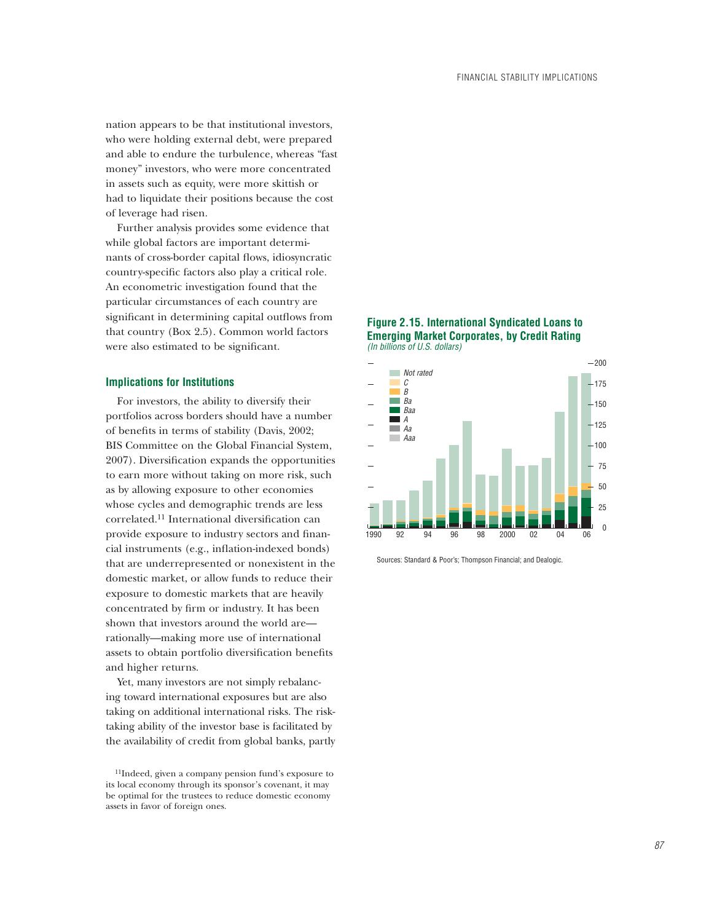nation appears to be that institutional investors, who were holding external debt, were prepared and able to endure the turbulence, whereas "fast money" investors, who were more concentrated in assets such as equity, were more skittish or had to liquidate their positions because the cost of leverage had risen.

Further analysis provides some evidence that while global factors are important determinants of cross-border capital flows, idiosyncratic country-specific factors also play a critical role. An econometric investigation found that the particular circumstances of each country are significant in determining capital outflows from that country (Box 2.5). Common world factors were also estimated to be significant.

### **Implications for Institutions**

For investors, the ability to diversify their portfolios across borders should have a number of benefits in terms of stability (Davis, 2002; BIS Committee on the Global Financial System, 2007). Diversification expands the opportunities to earn more without taking on more risk, such as by allowing exposure to other economies whose cycles and demographic trends are less correlated.11 International diversification can provide exposure to industry sectors and financial instruments (e.g., inflation-indexed bonds) that are underrepresented or nonexistent in the domestic market, or allow funds to reduce their exposure to domestic markets that are heavily concentrated by firm or industry. It has been shown that investors around the world are rationally—making more use of international assets to obtain portfolio diversification benefits and higher returns.

Yet, many investors are not simply rebalancing toward international exposures but are also taking on additional international risks. The risktaking ability of the investor base is facilitated by the availability of credit from global banks, partly

### **Figure 2.15. International Syndicated Loans to Emerging Market Corporates, by Credit Rating** (In billions of U.S. dollars)



Sources: Standard & Poor's; Thompson Financial; and Dealogic.

<sup>11</sup>Indeed, given a company pension fund's exposure to its local economy through its sponsor's covenant, it may be optimal for the trustees to reduce domestic economy assets in favor of foreign ones.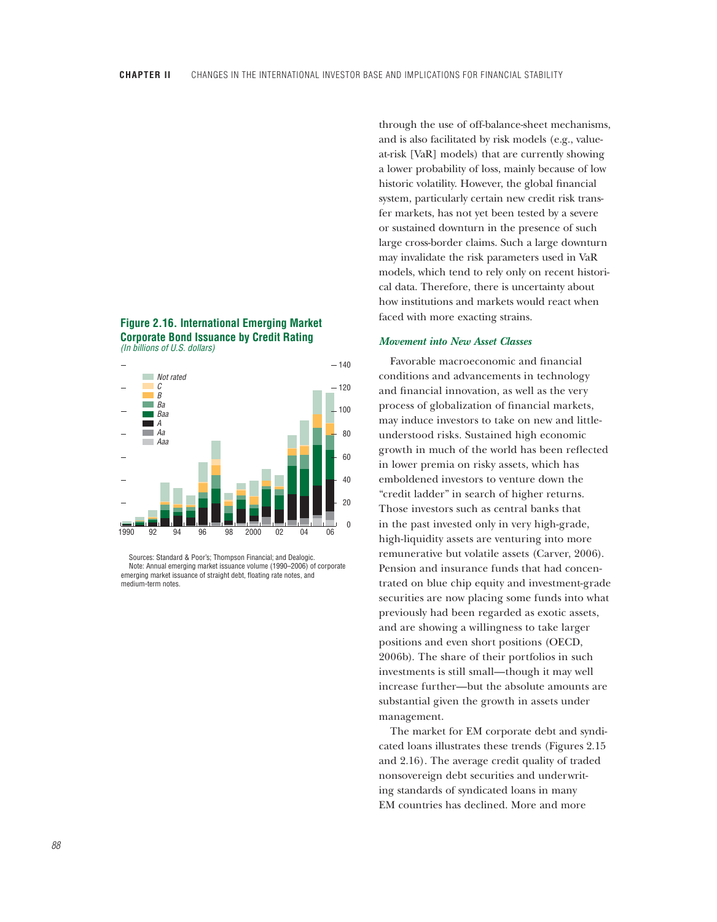



Sources: Standard & Poor's; Thompson Financial; and Dealogic. Note: Annual emerging market issuance volume (1990–2006) of corporate emerging market issuance of straight debt, floating rate notes, and medium-term notes.

through the use of off-balance-sheet mechanisms, and is also facilitated by risk models (e.g., valueat-risk [VaR] models) that are currently showing a lower probability of loss, mainly because of low historic volatility. However, the global financial system, particularly certain new credit risk transfer markets, has not yet been tested by a severe or sustained downturn in the presence of such large cross-border claims. Such a large downturn may invalidate the risk parameters used in VaR models, which tend to rely only on recent historical data. Therefore, there is uncertainty about how institutions and markets would react when faced with more exacting strains.

#### *Movement into New Asset Classes*

Favorable macroeconomic and financial conditions and advancements in technology and financial innovation, as well as the very process of globalization of financial markets, may induce investors to take on new and littleunderstood risks. Sustained high economic growth in much of the world has been reflected in lower premia on risky assets, which has emboldened investors to venture down the "credit ladder" in search of higher returns. Those investors such as central banks that in the past invested only in very high-grade, high-liquidity assets are venturing into more remunerative but volatile assets (Carver, 2006). Pension and insurance funds that had concentrated on blue chip equity and investment-grade securities are now placing some funds into what previously had been regarded as exotic assets, and are showing a willingness to take larger positions and even short positions (OECD, 2006b). The share of their portfolios in such investments is still small—though it may well increase further—but the absolute amounts are substantial given the growth in assets under management.

The market for EM corporate debt and syndicated loans illustrates these trends (Figures 2.15 and 2.16). The average credit quality of traded nonsovereign debt securities and underwriting standards of syndicated loans in many EM countries has declined. More and more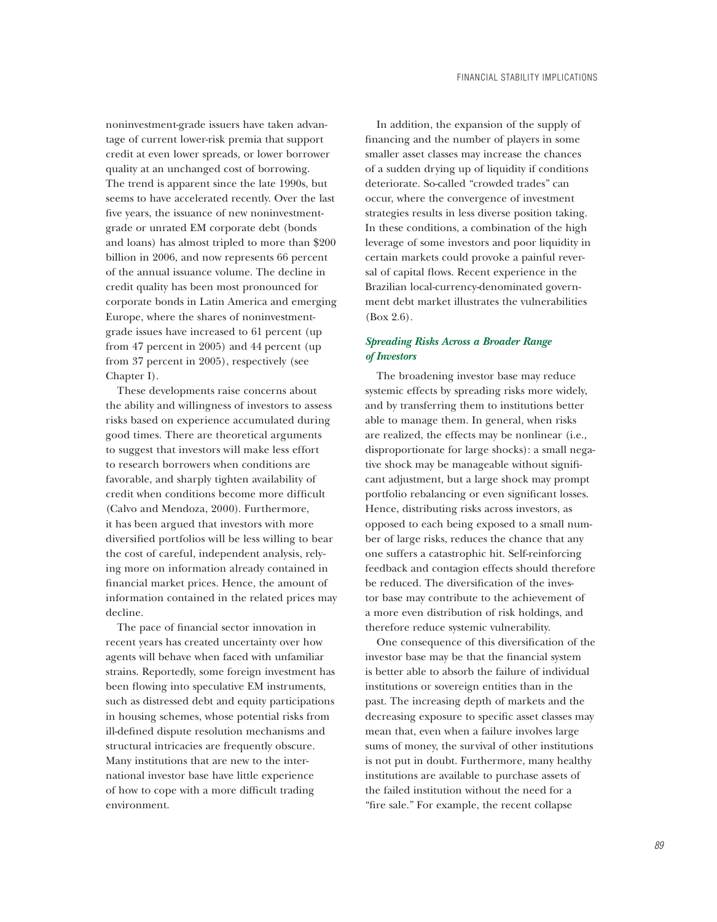noninvestment-grade issuers have taken advantage of current lower-risk premia that support credit at even lower spreads, or lower borrower quality at an unchanged cost of borrowing. The trend is apparent since the late 1990s, but seems to have accelerated recently. Over the last five years, the issuance of new noninvestmentgrade or unrated EM corporate debt (bonds and loans) has almost tripled to more than \$200 billion in 2006, and now represents 66 percent of the annual issuance volume. The decline in credit quality has been most pronounced for corporate bonds in Latin America and emerging Europe, where the shares of noninvestmentgrade issues have increased to 61 percent (up from 47 percent in 2005) and 44 percent (up from 37 percent in 2005), respectively (see Chapter I).

These developments raise concerns about the ability and willingness of investors to assess risks based on experience accumulated during good times. There are theoretical arguments to suggest that investors will make less effort to research borrowers when conditions are favorable, and sharply tighten availability of credit when conditions become more difficult (Calvo and Mendoza, 2000). Furthermore, it has been argued that investors with more diversified portfolios will be less willing to bear the cost of careful, independent analysis, relying more on information already contained in financial market prices. Hence, the amount of information contained in the related prices may decline.

The pace of financial sector innovation in recent years has created uncertainty over how agents will behave when faced with unfamiliar strains. Reportedly, some foreign investment has been flowing into speculative EM instruments, such as distressed debt and equity participations in housing schemes, whose potential risks from ill-defined dispute resolution mechanisms and structural intricacies are frequently obscure. Many institutions that are new to the international investor base have little experience of how to cope with a more difficult trading environment.

In addition, the expansion of the supply of financing and the number of players in some smaller asset classes may increase the chances of a sudden drying up of liquidity if conditions deteriorate. So-called "crowded trades" can occur, where the convergence of investment strategies results in less diverse position taking. In these conditions, a combination of the high leverage of some investors and poor liquidity in certain markets could provoke a painful reversal of capital flows. Recent experience in the Brazilian local-currency-denominated government debt market illustrates the vulnerabilities (Box 2.6).

# *Spreading Risks Across a Broader Range of Investors*

The broadening investor base may reduce systemic effects by spreading risks more widely, and by transferring them to institutions better able to manage them. In general, when risks are realized, the effects may be nonlinear (i.e., disproportionate for large shocks): a small negative shock may be manageable without significant adjustment, but a large shock may prompt portfolio rebalancing or even significant losses. Hence, distributing risks across investors, as opposed to each being exposed to a small number of large risks, reduces the chance that any one suffers a catastrophic hit. Self-reinforcing feedback and contagion effects should therefore be reduced. The diversification of the investor base may contribute to the achievement of a more even distribution of risk holdings, and therefore reduce systemic vulnerability.

One consequence of this diversification of the investor base may be that the financial system is better able to absorb the failure of individual institutions or sovereign entities than in the past. The increasing depth of markets and the decreasing exposure to specific asset classes may mean that, even when a failure involves large sums of money, the survival of other institutions is not put in doubt. Furthermore, many healthy institutions are available to purchase assets of the failed institution without the need for a "fire sale." For example, the recent collapse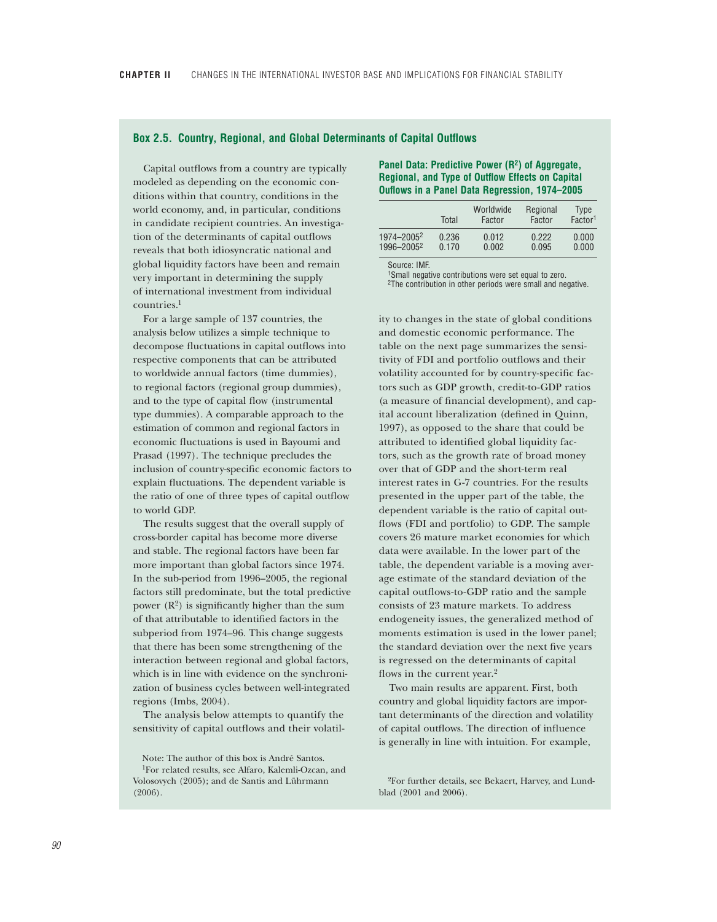### **Box 2.5. Country, Regional, and Global Determinants of Capital Outflows**

Capital outflows from a country are typically modeled as depending on the economic conditions within that country, conditions in the world economy, and, in particular, conditions in candidate recipient countries. An investigation of the determinants of capital outflows reveals that both idiosyncratic national and global liquidity factors have been and remain very important in determining the supply of international investment from individual countries.1

For a large sample of 137 countries, the analysis below utilizes a simple technique to decompose fluctuations in capital outflows into respective components that can be attributed to worldwide annual factors (time dummies), to regional factors (regional group dummies), and to the type of capital flow (instrumental type dummies). A comparable approach to the estimation of common and regional factors in economic fluctuations is used in Bayoumi and Prasad (1997). The technique precludes the inclusion of country-specific economic factors to explain fluctuations. The dependent variable is the ratio of one of three types of capital outflow to world GDP.

The results suggest that the overall supply of cross-border capital has become more diverse and stable. The regional factors have been far more important than global factors since 1974. In the sub-period from 1996–2005, the regional factors still predominate, but the total predictive power  $(R^2)$  is significantly higher than the sum of that attributable to identified factors in the subperiod from 1974–96. This change suggests that there has been some strengthening of the interaction between regional and global factors, which is in line with evidence on the synchronization of business cycles between well-integrated regions (Imbs, 2004).

The analysis below attempts to quantify the sensitivity of capital outflows and their volatil-

### **Panel Data: Predictive Power (R2) of Aggregate, Regional, and Type of Outflow Effects on Capital Ouflows in a Panel Data Regression, 1974–2005**

|            | Total | Worldwide<br>Factor | Regional<br>Factor | <b>Type</b><br>Factor <sup>1</sup> |
|------------|-------|---------------------|--------------------|------------------------------------|
| 1974-20052 | 0.236 | 0.012               | 0.222              | 0.000                              |
| 1996-20052 | 0.170 | 0.002               | 0.095              | 0.000                              |

Source: IMF.

1Small negative contributions were set equal to zero. 2The contribution in other periods were small and negative.

ity to changes in the state of global conditions and domestic economic performance. The table on the next page summarizes the sensitivity of FDI and portfolio outflows and their volatility accounted for by country-specific factors such as GDP growth, credit-to-GDP ratios (a measure of financial development), and capital account liberalization (defined in Quinn, 1997), as opposed to the share that could be attributed to identified global liquidity factors, such as the growth rate of broad money over that of GDP and the short-term real interest rates in G-7 countries. For the results presented in the upper part of the table, the dependent variable is the ratio of capital outflows (FDI and portfolio) to GDP. The sample covers 26 mature market economies for which data were available. In the lower part of the table, the dependent variable is a moving average estimate of the standard deviation of the capital outflows-to-GDP ratio and the sample consists of 23 mature markets. To address endogeneity issues, the generalized method of moments estimation is used in the lower panel; the standard deviation over the next five years is regressed on the determinants of capital flows in the current year.<sup>2</sup>

Two main results are apparent. First, both country and global liquidity factors are important determinants of the direction and volatility of capital outflows. The direction of influence is generally in line with intuition. For example,

Note: The author of this box is André Santos. 1For related results, see Alfaro, Kalemli-Ozcan, and Volosovych (2005); and de Santis and Lührmann (2006).

<sup>2</sup>For further details, see Bekaert, Harvey, and Lundblad (2001 and 2006).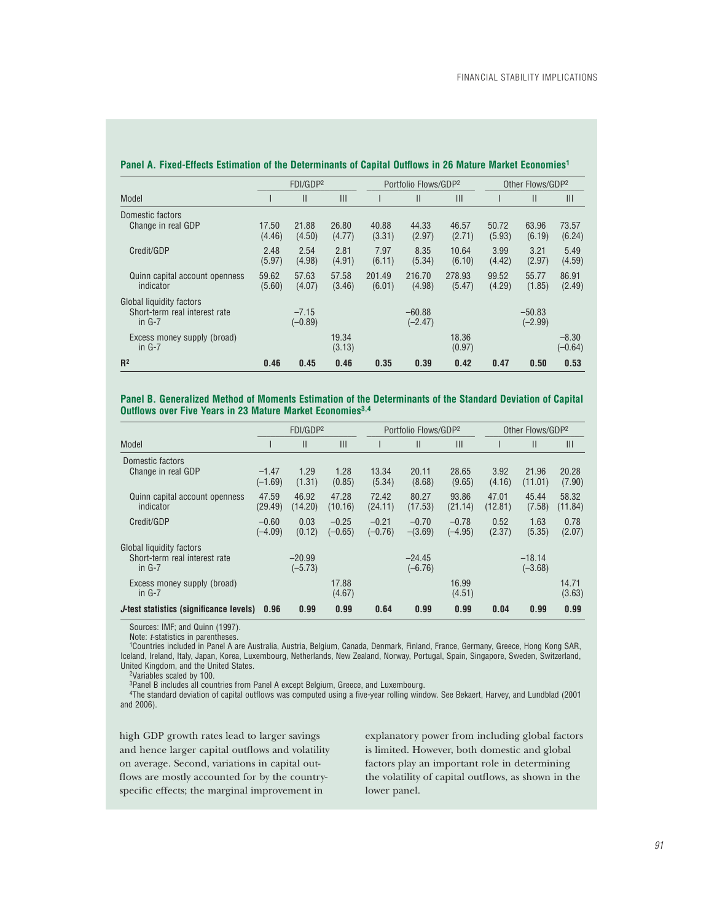|                                                                       |                 | FDI/GDP <sup>2</sup> |                 |                  | Portfolio Flows/GDP2  |                  |                 | Other Flows/GDP <sup>2</sup> |                      |
|-----------------------------------------------------------------------|-----------------|----------------------|-----------------|------------------|-----------------------|------------------|-----------------|------------------------------|----------------------|
| Model                                                                 |                 | Ш                    | III             |                  | Ш                     | III              |                 | Ш                            | III                  |
| Domestic factors                                                      |                 |                      |                 |                  |                       |                  |                 |                              |                      |
| Change in real GDP                                                    | 17.50<br>(4.46) | 21.88<br>(4.50)      | 26.80<br>(4.77) | 40.88<br>(3.31)  | 44.33<br>(2.97)       | 46.57<br>(2.71)  | 50.72<br>(5.93) | 63.96<br>(6.19)              | 73.57<br>(6.24)      |
| Credit/GDP                                                            | 2.48<br>(5.97)  | 2.54<br>(4.98)       | 2.81<br>(4.91)  | 7.97<br>(6.11)   | 8.35<br>(5.34)        | 10.64<br>(6.10)  | 3.99<br>(4.42)  | 3.21<br>(2.97)               | 5.49<br>(4.59)       |
| Quinn capital account openness<br>indicator                           | 59.62<br>(5.60) | 57.63<br>(4.07)      | 57.58<br>(3.46) | 201.49<br>(6.01) | 216.70<br>(4.98)      | 278.93<br>(5.47) | 99.52<br>(4.29) | 55.77<br>(1.85)              | 86.91<br>(2.49)      |
| Global liquidity factors<br>Short-term real interest rate<br>in $G-7$ |                 | $-7.15$<br>$(-0.89)$ |                 |                  | $-60.88$<br>$(-2.47)$ |                  |                 | $-50.83$<br>$(-2.99)$        |                      |
| Excess money supply (broad)<br>in $G-7$                               |                 |                      | 19.34<br>(3.13) |                  |                       | 18.36<br>(0.97)  |                 |                              | $-8.30$<br>$(-0.64)$ |
| R <sup>2</sup>                                                        | 0.46            | 0.45                 | 0.46            | 0.35             | 0.39                  | 0.42             | 0.47            | 0.50                         | 0.53                 |

### **Panel A. Fixed-Effects Estimation of the Determinants of Capital Outflows in 26 Mature Market Economies1**

### **Panel B. Generalized Method of Moments Estimation of the Determinants of the Standard Deviation of Capital Outflows over Five Years in 23 Mature Market Economies3,4**

|                                                                       |                      | FDI/GDP2              |                      |                      | Portfolio Flows/GDP <sup>2</sup> |                      |                  | Other Flows/GDP <sup>2</sup> |                  |
|-----------------------------------------------------------------------|----------------------|-----------------------|----------------------|----------------------|----------------------------------|----------------------|------------------|------------------------------|------------------|
| Model                                                                 |                      | $\mathbf{I}$          | III                  |                      | Ш                                | III                  |                  | $\mathbf{  }$                | III              |
| Domestic factors<br>Change in real GDP                                | $-1.47$<br>$(-1.69)$ | 1.29<br>(1.31)        | 1.28<br>(0.85)       | 13.34<br>(5.34)      | 20.11<br>(8.68)                  | 28.65<br>(9.65)      | 3.92<br>(4.16)   | 21.96<br>(11.01)             | 20.28<br>(7.90)  |
| Quinn capital account openness<br>indicator                           | 47.59<br>(29.49)     | 46.92<br>(14.20)      | 47.28<br>(10.16)     | 72.42<br>(24.11)     | 80.27<br>(17.53)                 | 93.86<br>(21.14)     | 47.01<br>(12.81) | 45.44<br>(7.58)              | 58.32<br>(11.84) |
| Credit/GDP                                                            | $-0.60$<br>$(-4.09)$ | 0.03<br>(0.12)        | $-0.25$<br>$(-0.65)$ | $-0.21$<br>$(-0.76)$ | $-0.70$<br>$-(3.69)$             | $-0.78$<br>$(-4.95)$ | 0.52<br>(2.37)   | 1.63<br>(5.35)               | 0.78<br>(2.07)   |
| Global liquidity factors<br>Short-term real interest rate<br>in $G-7$ |                      | $-20.99$<br>$(-5.73)$ |                      |                      | $-24.45$<br>$(-6.76)$            |                      |                  | $-18.14$<br>$(-3.68)$        |                  |
| Excess money supply (broad)<br>in $G-7$                               |                      |                       | 17.88<br>(4.67)      |                      |                                  | 16.99<br>(4.51)      |                  |                              | 14.71<br>(3.63)  |
| <i>J</i> -test statistics (significance levels)                       | 0.96                 | 0.99                  | 0.99                 | 0.64                 | 0.99                             | 0.99                 | 0.04             | 0.99                         | 0.99             |

Sources: IMF; and Quinn (1997).

Note: *t*-statistics in parentheses.

1Countries included in Panel A are Australia, Austria, Belgium, Canada, Denmark, Finland, France, Germany, Greece, Hong Kong SAR, Iceland, Ireland, Italy, Japan, Korea, Luxembourg, Netherlands, New Zealand, Norway, Portugal, Spain, Singapore, Sweden, Switzerland, United Kingdom, and the United States.

2Variables scaled by 100.

3Panel B includes all countries from Panel A except Belgium, Greece, and Luxembourg.

4The standard deviation of capital outflows was computed using a five-year rolling window. See Bekaert, Harvey, and Lundblad (2001 and 2006).

high GDP growth rates lead to larger savings and hence larger capital outflows and volatility on average. Second, variations in capital outflows are mostly accounted for by the countryspecific effects; the marginal improvement in

explanatory power from including global factors is limited. However, both domestic and global factors play an important role in determining the volatility of capital outflows, as shown in the lower panel.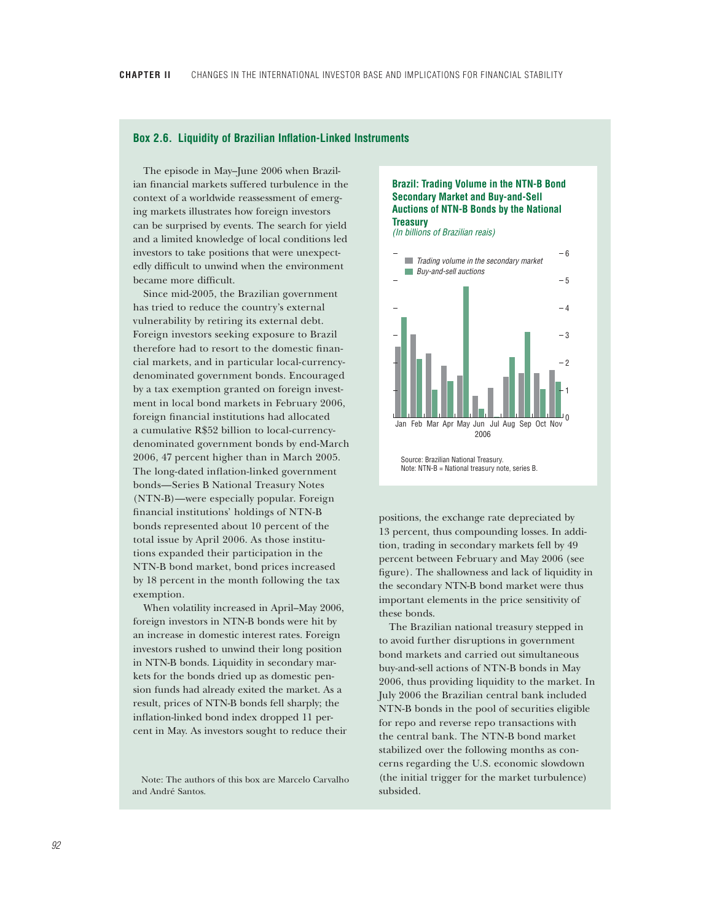### **Box 2.6. Liquidity of Brazilian Inflation-Linked Instruments**

The episode in May–June 2006 when Brazilian financial markets suffered turbulence in the context of a worldwide reassessment of emerging markets illustrates how foreign investors can be surprised by events. The search for yield and a limited knowledge of local conditions led investors to take positions that were unexpectedly difficult to unwind when the environment became more difficult.

Since mid-2005, the Brazilian government has tried to reduce the country's external vulnerability by retiring its external debt. Foreign investors seeking exposure to Brazil therefore had to resort to the domestic financial markets, and in particular local-currencydenominated government bonds. Encouraged by a tax exemption granted on foreign investment in local bond markets in February 2006, foreign financial institutions had allocated a cumulative R\$52 billion to local-currencydenominated government bonds by end-March 2006, 47 percent higher than in March 2005. The long-dated inflation-linked government bonds—Series B National Treasury Notes (NTN-B)—were especially popular. Foreign financial institutions' holdings of NTN-B bonds represented about 10 percent of the total issue by April 2006. As those institutions expanded their participation in the NTN-B bond market, bond prices increased by 18 percent in the month following the tax exemption.

When volatility increased in April–May 2006, foreign investors in NTN-B bonds were hit by an increase in domestic interest rates. Foreign investors rushed to unwind their long position in NTN-B bonds. Liquidity in secondary markets for the bonds dried up as domestic pension funds had already exited the market. As a result, prices of NTN-B bonds fell sharply; the inflation-linked bond index dropped 11 percent in May. As investors sought to reduce their

Note: The authors of this box are Marcelo Carvalho and André Santos.

### **Brazil: Trading Volume in the NTN-B Bond Secondary Market and Buy-and-Sell Auctions of NTN-B Bonds by the National Treasury**

(In billions of Brazilian reais)



Source: Brazilian National Treasury. Note: NTN-B = National treasury note, series B.

positions, the exchange rate depreciated by 13 percent, thus compounding losses. In addition, trading in secondary markets fell by 49 percent between February and May 2006 (see figure). The shallowness and lack of liquidity in the secondary NTN-B bond market were thus important elements in the price sensitivity of these bonds.

The Brazilian national treasury stepped in to avoid further disruptions in government bond markets and carried out simultaneous buy-and-sell actions of NTN-B bonds in May 2006, thus providing liquidity to the market. In July 2006 the Brazilian central bank included NTN-B bonds in the pool of securities eligible for repo and reverse repo transactions with the central bank. The NTN-B bond market stabilized over the following months as concerns regarding the U.S. economic slowdown (the initial trigger for the market turbulence) subsided.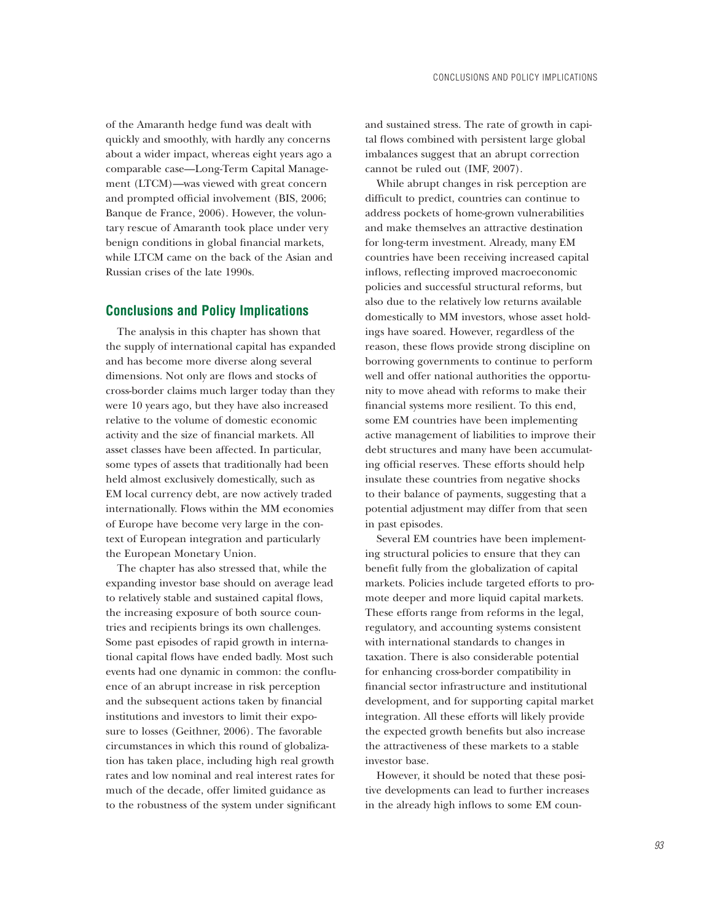of the Amaranth hedge fund was dealt with quickly and smoothly, with hardly any concerns about a wider impact, whereas eight years ago a comparable case—Long-Term Capital Management (LTCM)—was viewed with great concern and prompted official involvement (BIS, 2006; Banque de France, 2006). However, the voluntary rescue of Amaranth took place under very benign conditions in global financial markets, while LTCM came on the back of the Asian and Russian crises of the late 1990s.

# **Conclusions and Policy Implications**

The analysis in this chapter has shown that the supply of international capital has expanded and has become more diverse along several dimensions. Not only are flows and stocks of cross-border claims much larger today than they were 10 years ago, but they have also increased relative to the volume of domestic economic activity and the size of financial markets. All asset classes have been affected. In particular, some types of assets that traditionally had been held almost exclusively domestically, such as EM local currency debt, are now actively traded internationally. Flows within the MM economies of Europe have become very large in the context of European integration and particularly the European Monetary Union.

The chapter has also stressed that, while the expanding investor base should on average lead to relatively stable and sustained capital flows, the increasing exposure of both source countries and recipients brings its own challenges. Some past episodes of rapid growth in international capital flows have ended badly. Most such events had one dynamic in common: the confluence of an abrupt increase in risk perception and the subsequent actions taken by financial institutions and investors to limit their exposure to losses (Geithner, 2006). The favorable circumstances in which this round of globalization has taken place, including high real growth rates and low nominal and real interest rates for much of the decade, offer limited guidance as to the robustness of the system under significant

and sustained stress. The rate of growth in capital flows combined with persistent large global imbalances suggest that an abrupt correction cannot be ruled out (IMF, 2007).

While abrupt changes in risk perception are difficult to predict, countries can continue to address pockets of home-grown vulnerabilities and make themselves an attractive destination for long-term investment. Already, many EM countries have been receiving increased capital inflows, reflecting improved macroeconomic policies and successful structural reforms, but also due to the relatively low returns available domestically to MM investors, whose asset holdings have soared. However, regardless of the reason, these flows provide strong discipline on borrowing governments to continue to perform well and offer national authorities the opportunity to move ahead with reforms to make their financial systems more resilient. To this end, some EM countries have been implementing active management of liabilities to improve their debt structures and many have been accumulating official reserves. These efforts should help insulate these countries from negative shocks to their balance of payments, suggesting that a potential adjustment may differ from that seen in past episodes.

Several EM countries have been implementing structural policies to ensure that they can benefit fully from the globalization of capital markets. Policies include targeted efforts to promote deeper and more liquid capital markets. These efforts range from reforms in the legal, regulatory, and accounting systems consistent with international standards to changes in taxation. There is also considerable potential for enhancing cross-border compatibility in financial sector infrastructure and institutional development, and for supporting capital market integration. All these efforts will likely provide the expected growth benefits but also increase the attractiveness of these markets to a stable investor base.

However, it should be noted that these positive developments can lead to further increases in the already high inflows to some EM coun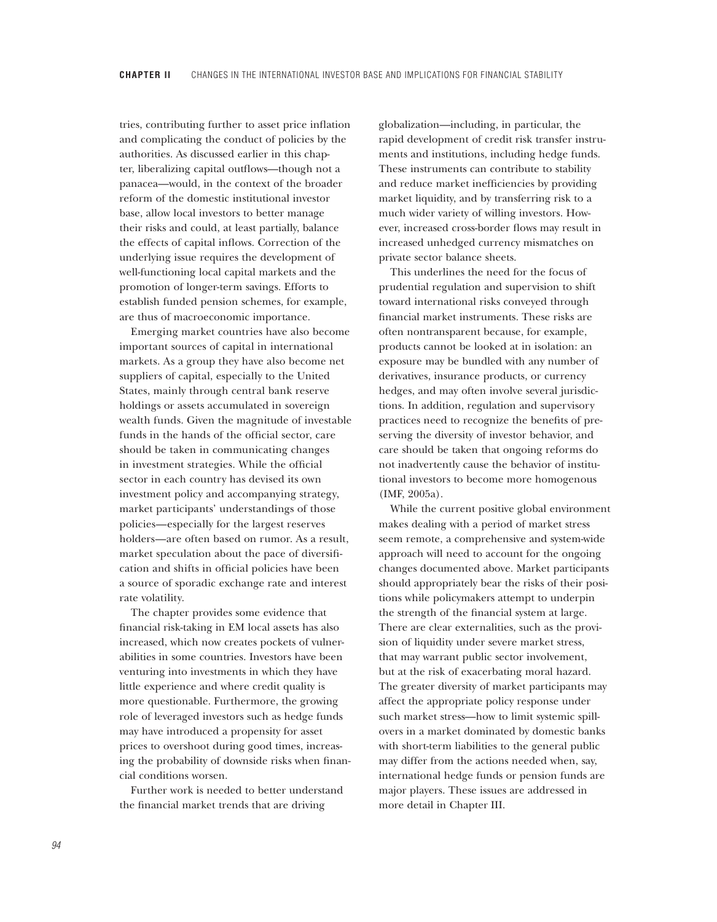tries, contributing further to asset price inflation and complicating the conduct of policies by the authorities. As discussed earlier in this chapter, liberalizing capital outflows—though not a panacea—would, in the context of the broader reform of the domestic institutional investor base, allow local investors to better manage their risks and could, at least partially, balance the effects of capital inflows. Correction of the underlying issue requires the development of well-functioning local capital markets and the promotion of longer-term savings. Efforts to establish funded pension schemes, for example, are thus of macroeconomic importance.

Emerging market countries have also become important sources of capital in international markets. As a group they have also become net suppliers of capital, especially to the United States, mainly through central bank reserve holdings or assets accumulated in sovereign wealth funds. Given the magnitude of investable funds in the hands of the official sector, care should be taken in communicating changes in investment strategies. While the official sector in each country has devised its own investment policy and accompanying strategy, market participants' understandings of those policies—especially for the largest reserves holders—are often based on rumor. As a result, market speculation about the pace of diversification and shifts in official policies have been a source of sporadic exchange rate and interest rate volatility.

The chapter provides some evidence that financial risk-taking in EM local assets has also increased, which now creates pockets of vulnerabilities in some countries. Investors have been venturing into investments in which they have little experience and where credit quality is more questionable. Furthermore, the growing role of leveraged investors such as hedge funds may have introduced a propensity for asset prices to overshoot during good times, increasing the probability of downside risks when financial conditions worsen.

Further work is needed to better understand the financial market trends that are driving

globalization—including, in particular, the rapid development of credit risk transfer instruments and institutions, including hedge funds. These instruments can contribute to stability and reduce market inefficiencies by providing market liquidity, and by transferring risk to a much wider variety of willing investors. However, increased cross-border flows may result in increased unhedged currency mismatches on private sector balance sheets.

This underlines the need for the focus of prudential regulation and supervision to shift toward international risks conveyed through financial market instruments. These risks are often nontransparent because, for example, products cannot be looked at in isolation: an exposure may be bundled with any number of derivatives, insurance products, or currency hedges, and may often involve several jurisdictions. In addition, regulation and supervisory practices need to recognize the benefits of preserving the diversity of investor behavior, and care should be taken that ongoing reforms do not inadvertently cause the behavior of institutional investors to become more homogenous (IMF, 2005a).

While the current positive global environment makes dealing with a period of market stress seem remote, a comprehensive and system-wide approach will need to account for the ongoing changes documented above. Market participants should appropriately bear the risks of their positions while policymakers attempt to underpin the strength of the financial system at large. There are clear externalities, such as the provision of liquidity under severe market stress, that may warrant public sector involvement, but at the risk of exacerbating moral hazard. The greater diversity of market participants may affect the appropriate policy response under such market stress—how to limit systemic spillovers in a market dominated by domestic banks with short-term liabilities to the general public may differ from the actions needed when, say, international hedge funds or pension funds are major players. These issues are addressed in more detail in Chapter III.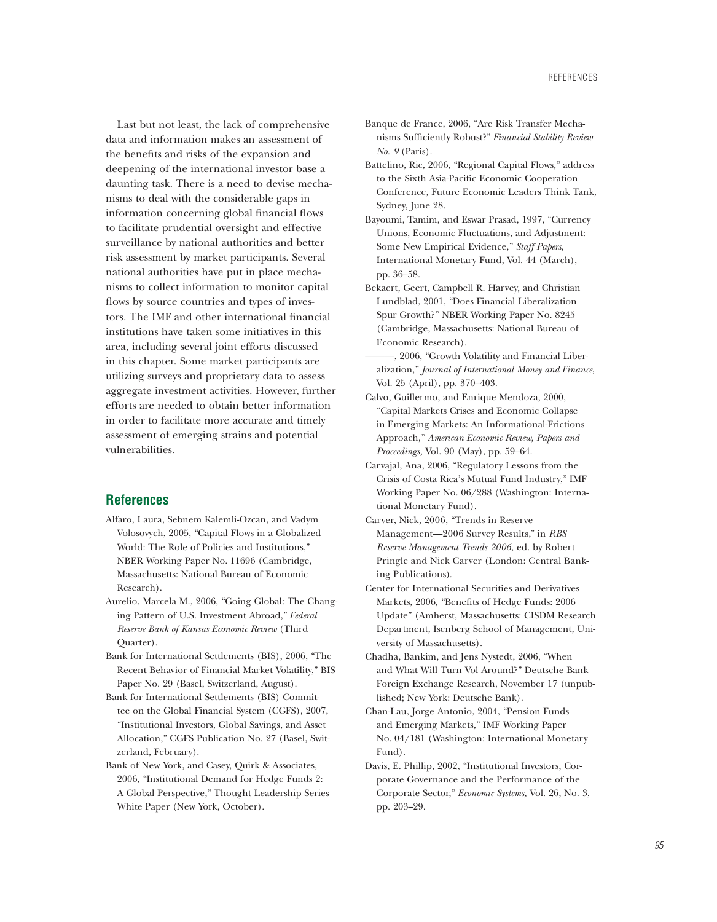Last but not least, the lack of comprehensive data and information makes an assessment of the benefits and risks of the expansion and deepening of the international investor base a daunting task. There is a need to devise mechanisms to deal with the considerable gaps in information concerning global financial flows to facilitate prudential oversight and effective surveillance by national authorities and better risk assessment by market participants. Several national authorities have put in place mechanisms to collect information to monitor capital flows by source countries and types of investors. The IMF and other international financial institutions have taken some initiatives in this area, including several joint efforts discussed in this chapter. Some market participants are utilizing surveys and proprietary data to assess aggregate investment activities. However, further efforts are needed to obtain better information in order to facilitate more accurate and timely assessment of emerging strains and potential vulnerabilities.

# **References**

- Alfaro, Laura, Sebnem Kalemli-Ozcan, and Vadym Volosovych, 2005, "Capital Flows in a Globalized World: The Role of Policies and Institutions," NBER Working Paper No. 11696 (Cambridge, Massachusetts: National Bureau of Economic Research).
- Aurelio, Marcela M., 2006, "Going Global: The Changing Pattern of U.S. Investment Abroad," *Federal Reserve Bank of Kansas Economic Review* (Third Quarter).
- Bank for International Settlements (BIS), 2006, "The Recent Behavior of Financial Market Volatility," BIS Paper No. 29 (Basel, Switzerland, August).
- Bank for International Settlements (BIS) Committee on the Global Financial System (CGFS), 2007, "Institutional Investors, Global Savings, and Asset Allocation," CGFS Publication No. 27 (Basel, Switzerland, February).
- Bank of New York, and Casey, Quirk & Associates, 2006, "Institutional Demand for Hedge Funds 2: A Global Perspective," Thought Leadership Series White Paper (New York, October).
- Banque de France, 2006, "Are Risk Transfer Mechanisms Sufficiently Robust?" *Financial Stability Review No. 9* (Paris).
- Battelino, Ric, 2006, "Regional Capital Flows," address to the Sixth Asia-Pacific Economic Cooperation Conference, Future Economic Leaders Think Tank, Sydney, June 28.
- Bayoumi, Tamim, and Eswar Prasad, 1997, "Currency Unions, Economic Fluctuations, and Adjustment: Some New Empirical Evidence," *Staff Papers,* International Monetary Fund, Vol. 44 (March), pp. 36–58.
- Bekaert, Geert, Campbell R. Harvey, and Christian Lundblad, 2001, "Does Financial Liberalization Spur Growth?" NBER Working Paper No. 8245 (Cambridge, Massachusetts: National Bureau of Economic Research).
- -, 2006, "Growth Volatility and Financial Liberalization," *Journal of International Money and Finance*, Vol. 25 (April), pp. 370–403.
- Calvo, Guillermo, and Enrique Mendoza, 2000, "Capital Markets Crises and Economic Collapse in Emerging Markets: An Informational-Frictions Approach," *American Economic Review, Papers and Proceedings,* Vol. 90 (May), pp. 59–64.
- Carvajal, Ana, 2006, "Regulatory Lessons from the Crisis of Costa Rica's Mutual Fund Industry," IMF Working Paper No. 06/288 (Washington: International Monetary Fund).
- Carver, Nick, 2006, "Trends in Reserve Management—2006 Survey Results," in *RBS Reserve Management Trends 2006*, ed. by Robert Pringle and Nick Carver (London: Central Banking Publications).
- Center for International Securities and Derivatives Markets, 2006, "Benefits of Hedge Funds: 2006 Update" (Amherst, Massachusetts: CISDM Research Department, Isenberg School of Management, University of Massachusetts).
- Chadha, Bankim, and Jens Nystedt, 2006, "When and What Will Turn Vol Around?" Deutsche Bank Foreign Exchange Research, November 17 (unpublished; New York: Deutsche Bank).
- Chan-Lau, Jorge Antonio, 2004, "Pension Funds and Emerging Markets," IMF Working Paper No. 04/181 (Washington: International Monetary Fund).
- Davis, E. Phillip, 2002, "Institutional Investors, Corporate Governance and the Performance of the Corporate Sector," *Economic Systems,* Vol. 26, No. 3, pp. 203–29.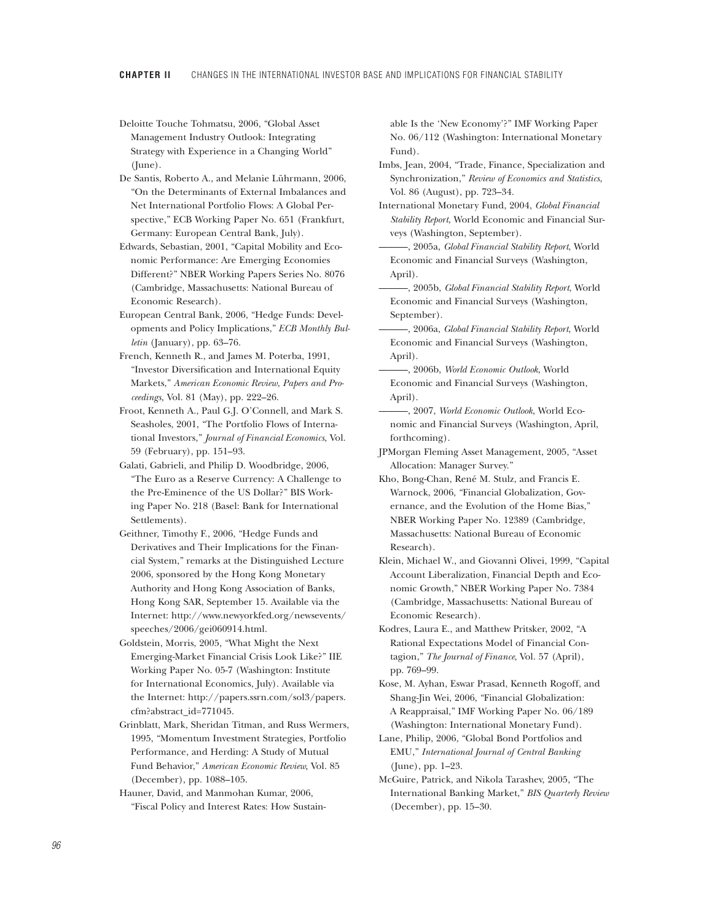- Deloitte Touche Tohmatsu, 2006, "Global Asset Management Industry Outlook: Integrating Strategy with Experience in a Changing World" (June).
- De Santis, Roberto A., and Melanie Lührmann, 2006, "On the Determinants of External Imbalances and Net International Portfolio Flows: A Global Perspective," ECB Working Paper No. 651 (Frankfurt, Germany: European Central Bank, July).
- Edwards, Sebastian, 2001, "Capital Mobility and Economic Performance: Are Emerging Economies Different?" NBER Working Papers Series No. 8076 (Cambridge, Massachusetts: National Bureau of Economic Research).
- European Central Bank, 2006, "Hedge Funds: Developments and Policy Implications," *ECB Monthly Bulletin* (January), pp. 63–76.
- French, Kenneth R., and James M. Poterba, 1991, "Investor Diversification and International Equity Markets," *American Economic Review*, *Papers and Proceedings,* Vol. 81 (May), pp. 222–26.
- Froot, Kenneth A., Paul G.J. O'Connell, and Mark S. Seasholes, 2001, "The Portfolio Flows of International Investors," *Journal of Financial Economics*, Vol. 59 (February), pp. 151–93.
- Galati, Gabrieli, and Philip D. Woodbridge, 2006, "The Euro as a Reserve Currency: A Challenge to the Pre-Eminence of the US Dollar?" BIS Working Paper No. 218 (Basel: Bank for International Settlements).
- Geithner, Timothy F., 2006, "Hedge Funds and Derivatives and Their Implications for the Financial System," remarks at the Distinguished Lecture 2006, sponsored by the Hong Kong Monetary Authority and Hong Kong Association of Banks, Hong Kong SAR, September 15. Available via the Internet: http://www.newyorkfed.org/newsevents/ speeches/2006/gei060914.html.
- Goldstein, Morris, 2005, "What Might the Next Emerging-Market Financial Crisis Look Like?" IIE Working Paper No. 05-7 (Washington: Institute for International Economics, July). Available via the Internet: http://papers.ssrn.com/sol3/papers. cfm?abstract\_id=771045.
- Grinblatt, Mark, Sheridan Titman, and Russ Wermers, 1995, "Momentum Investment Strategies, Portfolio Performance, and Herding: A Study of Mutual Fund Behavior," *American Economic Review,* Vol. 85 (December), pp. 1088–105.
- Hauner, David, and Manmohan Kumar, 2006, "Fiscal Policy and Interest Rates: How Sustain-

able Is the 'New Economy'?" IMF Working Paper No. 06/112 (Washington: International Monetary Fund).

- Imbs, Jean, 2004, "Trade, Finance, Specialization and Synchronization," *Review of Economics and Statistics*, Vol. 86 (August), pp. 723–34.
- International Monetary Fund, 2004, *Global Financial Stability Report*, World Economic and Financial Surveys (Washington, September).
- ———, 2005a, *Global Financial Stability Report*, World Economic and Financial Surveys (Washington, April).
- ———, 2005b, *Global Financial Stability Report*, World Economic and Financial Surveys (Washington, September).
- ———, 2006a, *Global Financial Stability Report*, World Economic and Financial Surveys (Washington, April).
- ———, 2006b, *World Economic Outlook*, World Economic and Financial Surveys (Washington, April).
- ———, 2007, *World Economic Outlook*, World Economic and Financial Surveys (Washington, April, forthcoming).
- JPMorgan Fleming Asset Management, 2005, "Asset Allocation: Manager Survey."
- Kho, Bong-Chan, René M. Stulz, and Francis E. Warnock, 2006, "Financial Globalization, Governance, and the Evolution of the Home Bias," NBER Working Paper No. 12389 (Cambridge, Massachusetts: National Bureau of Economic Research).
- Klein, Michael W., and Giovanni Olivei, 1999, "Capital Account Liberalization, Financial Depth and Economic Growth," NBER Working Paper No. 7384 (Cambridge, Massachusetts: National Bureau of Economic Research).
- Kodres, Laura E., and Matthew Pritsker, 2002, "A Rational Expectations Model of Financial Contagion," *The Journal of Finance*, Vol. 57 (April), pp. 769–99.
- Kose, M. Ayhan, Eswar Prasad, Kenneth Rogoff, and Shang-Jin Wei, 2006, "Financial Globalization: A Reappraisal," IMF Working Paper No. 06/189 (Washington: International Monetary Fund).
- Lane, Philip, 2006, "Global Bond Portfolios and EMU," *International Journal of Central Banking* (June), pp. 1–23.
- McGuire, Patrick, and Nikola Tarashev, 2005, "The International Banking Market," *BIS Quarterly Review* (December), pp. 15–30.